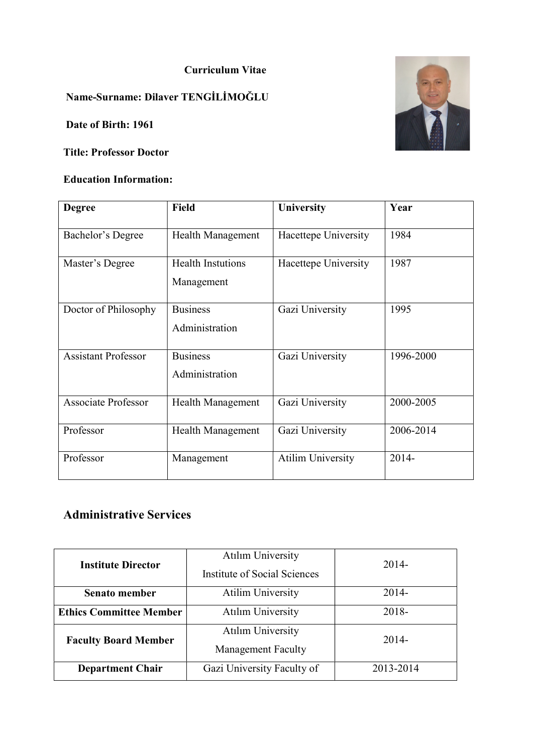#### Curriculum Vitae

# Name-Surname: Dilaver TENGİLİMOĞLU

Date of Birth: 1961

#### Title: Professor Doctor

#### Education Information:



| <b>Degree</b>              | <b>Field</b>                           | <b>University</b>        | Year      |
|----------------------------|----------------------------------------|--------------------------|-----------|
| Bachelor's Degree          | <b>Health Management</b>               | Hacettepe University     | 1984      |
| Master's Degree            | <b>Health Instutions</b><br>Management | Hacettepe University     | 1987      |
| Doctor of Philosophy       | <b>Business</b><br>Administration      | Gazi University          | 1995      |
| <b>Assistant Professor</b> | <b>Business</b><br>Administration      | Gazi University          | 1996-2000 |
| <b>Associate Professor</b> | <b>Health Management</b>               | Gazi University          | 2000-2005 |
| Professor                  | Health Management                      | Gazi University          | 2006-2014 |
| Professor                  | Management                             | <b>Atilim University</b> | 2014-     |

# Administrative Services

| <b>Institute Director</b>                                  | <b>Atılım University</b>     | $2014-$   |  |
|------------------------------------------------------------|------------------------------|-----------|--|
|                                                            | Institute of Social Sciences |           |  |
| Senato member                                              | <b>Atilim University</b>     | $2014-$   |  |
| <b>Atılım University</b><br><b>Ethics Committee Member</b> |                              | $2018 -$  |  |
| <b>Faculty Board Member</b>                                | <b>Atılım University</b>     | 2014-     |  |
|                                                            | <b>Management Faculty</b>    |           |  |
| <b>Department Chair</b>                                    | Gazi University Faculty of   | 2013-2014 |  |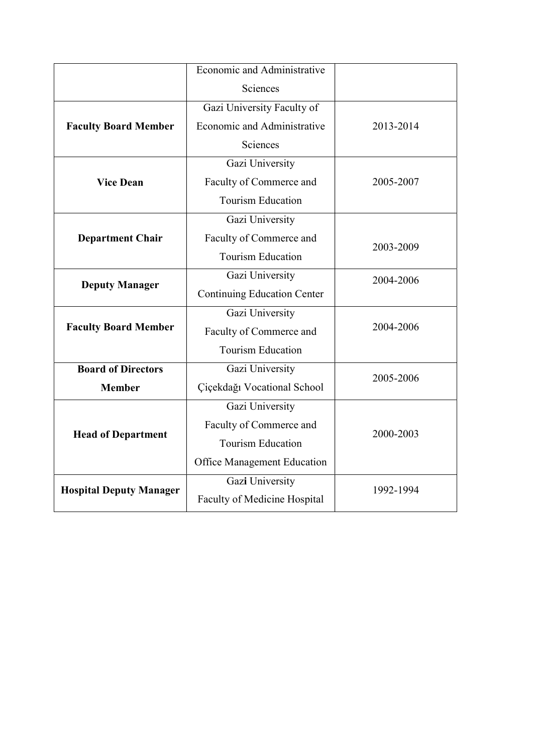|                                | Economic and Administrative        |           |  |
|--------------------------------|------------------------------------|-----------|--|
|                                | Sciences                           |           |  |
|                                | Gazi University Faculty of         |           |  |
| <b>Faculty Board Member</b>    | Economic and Administrative        | 2013-2014 |  |
|                                | Sciences                           |           |  |
|                                | Gazi University                    |           |  |
| <b>Vice Dean</b>               | Faculty of Commerce and            | 2005-2007 |  |
|                                | <b>Tourism Education</b>           |           |  |
|                                | Gazi University                    |           |  |
| <b>Department Chair</b>        | Faculty of Commerce and            | 2003-2009 |  |
|                                | <b>Tourism Education</b>           |           |  |
| <b>Deputy Manager</b>          | Gazi University                    | 2004-2006 |  |
|                                | <b>Continuing Education Center</b> |           |  |
|                                | Gazi University                    |           |  |
| <b>Faculty Board Member</b>    | Faculty of Commerce and            | 2004-2006 |  |
|                                | <b>Tourism Education</b>           |           |  |
| <b>Board of Directors</b>      | Gazi University                    |           |  |
| <b>Member</b>                  | Çiçekdağı Vocational School        | 2005-2006 |  |
|                                | Gazi University                    |           |  |
|                                | Faculty of Commerce and            |           |  |
| <b>Head of Department</b>      | <b>Tourism Education</b>           | 2000-2003 |  |
|                                | <b>Office Management Education</b> |           |  |
|                                | Gazi University                    |           |  |
| <b>Hospital Deputy Manager</b> | Faculty of Medicine Hospital       | 1992-1994 |  |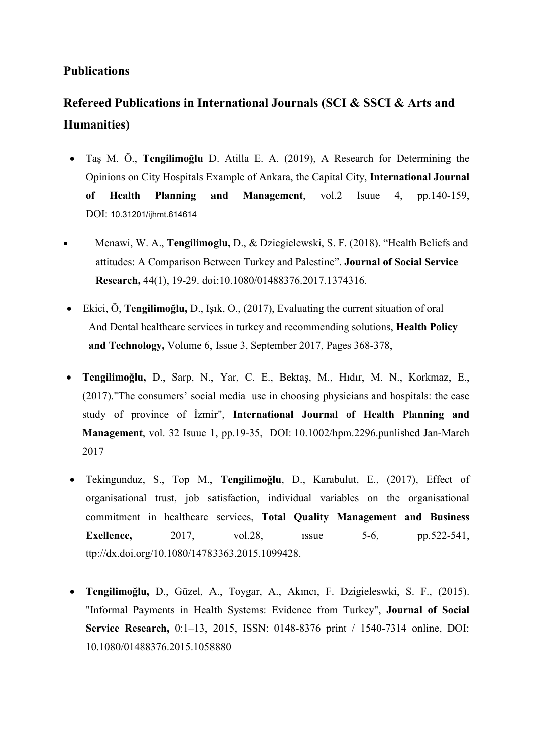### Publications

# Refereed Publications in International Journals (SCI & SSCI & Arts and Humanities)

- Taş M. Ö., Tengilimoğlu D. Atilla E. A. (2019), A Research for Determining the Opinions on City Hospitals Example of Ankara, the Capital City, International Journal of Health Planning and Management, vol.2 Isuue 4, pp.140-159, DOI: 10.31201/ijhmt.614614
- Menawi, W. A., Tengilimoglu, D., & Dziegielewski, S. F. (2018). "Health Beliefs and attitudes: A Comparison Between Turkey and Palestine". Journal of Social Service Research, 44(1), 19-29. doi:10.1080/01488376.2017.1374316.
- Ekici, Ö, Tengilimoğlu, D., Işık, O., (2017), Evaluating the current situation of oral And Dental healthcare services in turkey and recommending solutions, Health Policy and Technology, Volume 6, Issue 3, September 2017, Pages 368-378,
- Tengilimoğlu, D., Sarp, N., Yar, C. E., Bektaş, M., Hıdır, M. N., Korkmaz, E., (2017)."The consumers' social media use in choosing physicians and hospitals: the case study of province of İzmir", International Journal of Health Planning and Management, vol. 32 Isuue 1, pp.19-35, DOI: 10.1002/hpm.2296.punlished Jan-March 2017
- Tekingunduz, S., Top M., Tengilimoğlu, D., Karabulut, E., (2017), Effect of organisational trust, job satisfaction, individual variables on the organisational commitment in healthcare services, Total Quality Management and Business **Exellence,** 2017, vol.28, ussue 5-6, pp.522-541, ttp://dx.doi.org/10.1080/14783363.2015.1099428.
- Tengilimoğlu, D., Güzel, A., Toygar, A., Akıncı, F. Dzigieleswki, S. F., (2015). "Informal Payments in Health Systems: Evidence from Turkey", Journal of Social Service Research, 0:1–13, 2015, ISSN: 0148-8376 print / 1540-7314 online, DOI: 10.1080/01488376.2015.1058880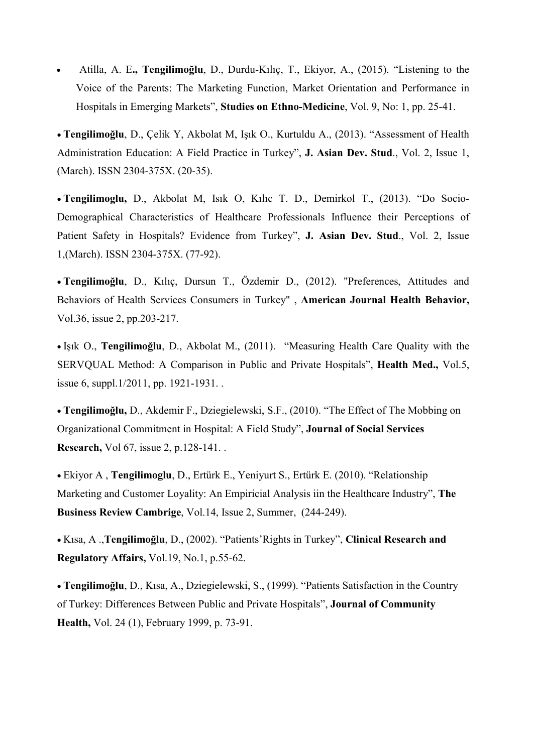Atilla, A. E., Tengilimoğlu, D., Durdu-Kılıç, T., Ekiyor, A., (2015). "Listening to the Voice of the Parents: The Marketing Function, Market Orientation and Performance in Hospitals in Emerging Markets", Studies on Ethno-Medicine, Vol. 9, No: 1, pp. 25-41.

 Tengilimoğlu, D., Çelik Y, Akbolat M, Işık O., Kurtuldu A., (2013). "Assessment of Health Administration Education: A Field Practice in Turkey", J. Asian Dev. Stud., Vol. 2, Issue 1, (March). ISSN 2304-375X. (20-35).

 Tengilimoglu, D., Akbolat M, Isık O, Kılıc T. D., Demirkol T., (2013). "Do Socio-Demographical Characteristics of Healthcare Professionals Influence their Perceptions of Patient Safety in Hospitals? Evidence from Turkey", J. Asian Dev. Stud., Vol. 2, Issue 1,(March). ISSN 2304-375X. (77-92).

 Tengilimoğlu, D., Kılıç, Dursun T., Özdemir D., (2012). "Preferences, Attitudes and Behaviors of Health Services Consumers in Turkey" , American Journal Health Behavior, Vol.36, issue 2, pp.203-217.

 Işık O., Tengilimoğlu, D., Akbolat M., (2011). "Measuring Health Care Quality with the SERVQUAL Method: A Comparison in Public and Private Hospitals", Health Med., Vol.5, issue 6, suppl.1/2011, pp. 1921-1931. .

 Tengilimoğlu, D., Akdemir F., Dziegielewski, S.F., (2010). "The Effect of The Mobbing on Organizational Commitment in Hospital: A Field Study", Journal of Social Services Research, Vol 67, issue 2, p.128-141. .

 Ekiyor A , Tengilimoglu, D., Ertürk E., Yeniyurt S., Ertürk E. (2010). "Relationship Marketing and Customer Loyality: An Empiricial Analysis iin the Healthcare Industry", The Business Review Cambrige, Vol.14, Issue 2, Summer, (244-249).

 Kısa, A .,Tengilimoğlu, D., (2002). "Patients'Rights in Turkey", Clinical Research and Regulatory Affairs, Vol.19, No.1, p.55-62.

 Tengilimoğlu, D., Kısa, A., Dziegielewski, S., (1999). "Patients Satisfaction in the Country of Turkey: Differences Between Public and Private Hospitals", Journal of Community Health, Vol. 24 (1), February 1999, p. 73-91.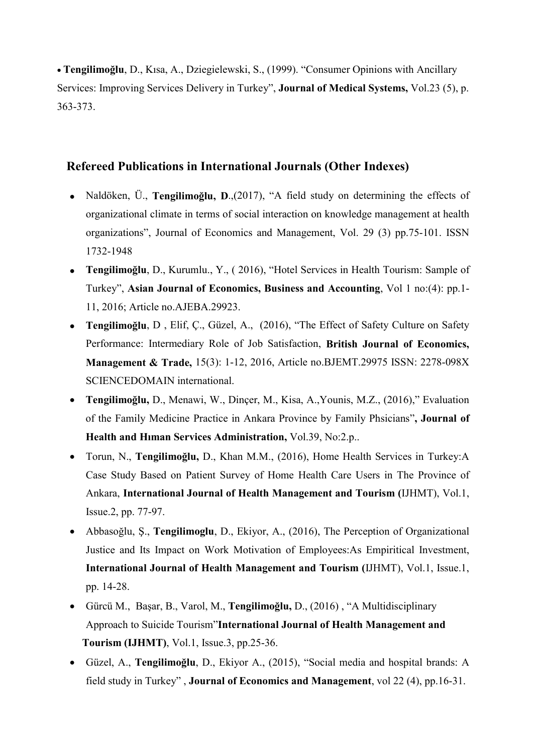Tengilimoğlu, D., Kısa, A., Dziegielewski, S., (1999). "Consumer Opinions with Ancillary Services: Improving Services Delivery in Turkey", Journal of Medical Systems, Vol.23 (5), p. 363-373.

## Refereed Publications in International Journals (Other Indexes)

- Naldöken, Ü., Tengilimoğlu, D.,(2017), "A field study on determining the effects of organizational climate in terms of social interaction on knowledge management at health organizations", Journal of Economics and Management, Vol. 29 (3) pp.75-101. ISSN 1732-1948
- Tengilimoğlu, D., Kurumlu., Y., ( 2016), "Hotel Services in Health Tourism: Sample of Turkey", Asian Journal of Economics, Business and Accounting, Vol 1 no:(4): pp.1- 11, 2016; Article no.AJEBA.29923.
- Tengilimoğlu, D , Elif, Ç., Güzel, A., (2016), "The Effect of Safety Culture on Safety Performance: Intermediary Role of Job Satisfaction, British Journal of Economics, Management & Trade, 15(3): 1-12, 2016, Article no.BJEMT.29975 ISSN: 2278-098X SCIENCEDOMAIN international.
- Tengilimoğlu, D., Menawi, W., Dinçer, M., Kisa, A.,Younis, M.Z., (2016)," Evaluation of the Family Medicine Practice in Ankara Province by Family Phsicians", Journal of Health and Hıman Services Administration, Vol.39, No:2.p..
- Torun, N., Tengilimoğlu, D., Khan M.M., (2016), Home Health Services in Turkey:A Case Study Based on Patient Survey of Home Health Care Users in The Province of Ankara, International Journal of Health Management and Tourism (IJHMT), Vol.1, Issue.2, pp. 77-97.
- Abbasoğlu, Ş., Tengilimoglu, D., Ekiyor, A., (2016), The Perception of Organizational Justice and Its Impact on Work Motivation of Employees:As Empiritical Investment, International Journal of Health Management and Tourism (IJHMT), Vol.1, Issue.1, pp. 14-28.
- Gürcü M., Başar, B., Varol, M., Tengilimoğlu, D., (2016) , "A Multidisciplinary Approach to Suicide Tourism"International Journal of Health Management and Tourism (IJHMT), Vol.1, Issue.3, pp.25-36.
- Güzel, A., Tengilimoğlu, D., Ekiyor A., (2015), "Social media and hospital brands: A field study in Turkey" , Journal of Economics and Management, vol 22 (4), pp.16-31.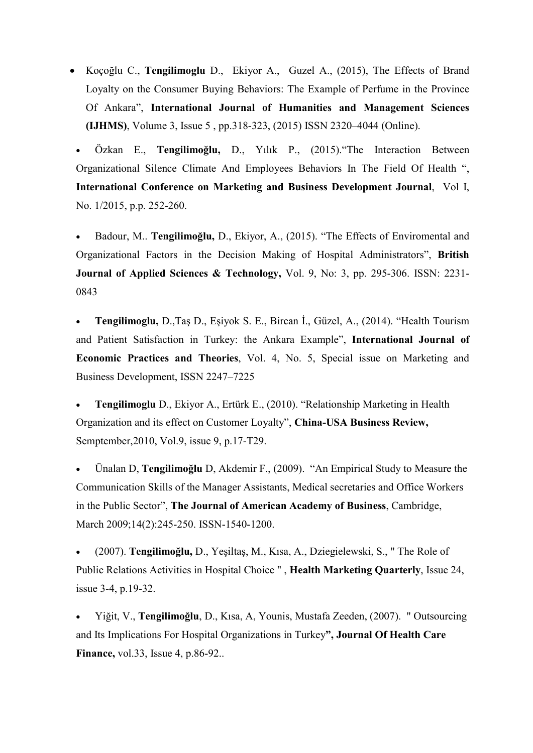Koçoğlu C., Tengilimoglu D., Ekiyor A., Guzel A., (2015), The Effects of Brand Loyalty on the Consumer Buying Behaviors: The Example of Perfume in the Province Of Ankara", International Journal of Humanities and Management Sciences (IJHMS), Volume 3, Issue 5 , pp.318-323, (2015) ISSN 2320–4044 (Online).

 Özkan E., Tengilimoğlu, D., Yılık P., (2015)."The Interaction Between Organizational Silence Climate And Employees Behaviors In The Field Of Health ", International Conference on Marketing and Business Development Journal, Vol I, No. 1/2015, p.p. 252-260.

 Badour, M.. Tengilimoğlu, D., Ekiyor, A., (2015). "The Effects of Enviromental and Organizational Factors in the Decision Making of Hospital Administrators", British Journal of Applied Sciences & Technology, Vol. 9, No: 3, pp. 295-306. ISSN: 2231- 0843

 Tengilimoglu, D.,Taş D., Eşiyok S. E., Bircan İ., Güzel, A., (2014). "Health Tourism and Patient Satisfaction in Turkey: the Ankara Example", International Journal of Economic Practices and Theories, Vol. 4, No. 5, Special issue on Marketing and Business Development, ISSN 2247–7225

 Tengilimoglu D., Ekiyor A., Ertürk E., (2010). "Relationship Marketing in Health Organization and its effect on Customer Loyalty", China-USA Business Review, Semptember,2010, Vol.9, issue 9, p.17-T29.

 Ünalan D, Tengilimoğlu D, Akdemir F., (2009). "An Empirical Study to Measure the Communication Skills of the Manager Assistants, Medical secretaries and Office Workers in the Public Sector", The Journal of American Academy of Business, Cambridge, March 2009;14(2):245-250. ISSN-1540-1200.

 (2007). Tengilimoğlu, D., Yeşiltaş, M., Kısa, A., Dziegielewski, S., " The Role of Public Relations Activities in Hospital Choice " , Health Marketing Quarterly, Issue 24, issue 3-4, p.19-32.

 Yiğit, V., Tengilimoğlu, D., Kısa, A, Younis, Mustafa Zeeden, (2007). " Outsourcing and Its Implications For Hospital Organizations in Turkey", Journal Of Health Care **Finance, vol.33, Issue 4, p.86-92..**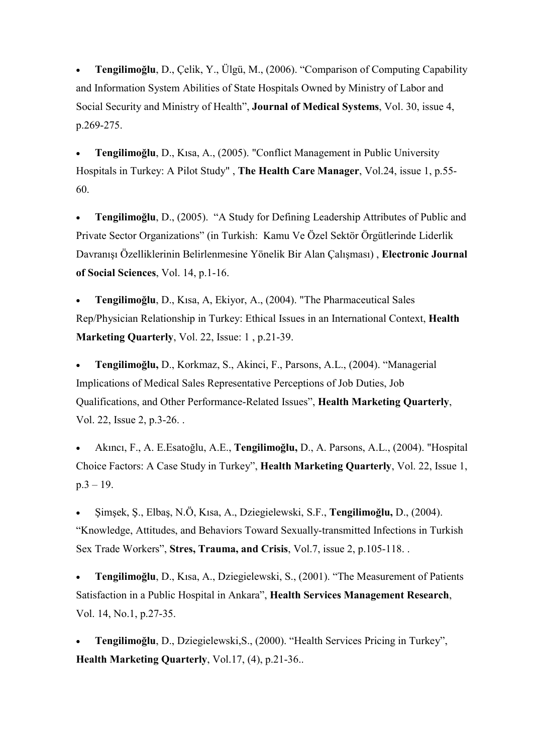Tengilimoğlu, D., Çelik, Y., Ülgü, M., (2006). "Comparison of Computing Capability and Information System Abilities of State Hospitals Owned by Ministry of Labor and Social Security and Ministry of Health", Journal of Medical Systems, Vol. 30, issue 4, p.269-275.

 Tengilimoğlu, D., Kısa, A., (2005). "Conflict Management in Public University Hospitals in Turkey: A Pilot Study" , The Health Care Manager, Vol.24, issue 1, p.55- 60.

 Tengilimoğlu, D., (2005). "A Study for Defining Leadership Attributes of Public and Private Sector Organizations" (in Turkish: Kamu Ve Özel Sektör Örgütlerinde Liderlik Davranışı Özelliklerinin Belirlenmesine Yönelik Bir Alan Çalışması) , Electronic Journal of Social Sciences, Vol. 14, p.1-16.

 Tengilimoğlu, D., Kısa, A, Ekiyor, A., (2004). "The Pharmaceutical Sales Rep/Physician Relationship in Turkey: Ethical Issues in an International Context, Health Marketing Quarterly, Vol. 22, Issue: 1, p.21-39.

 Tengilimoğlu, D., Korkmaz, S., Akinci, F., Parsons, A.L., (2004). "Managerial Implications of Medical Sales Representative Perceptions of Job Duties, Job Qualifications, and Other Performance-Related Issues", Health Marketing Quarterly, Vol. 22, Issue 2, p.3-26. .

 Akıncı, F., A. E.Esatoğlu, A.E., Tengilimoğlu, D., A. Parsons, A.L., (2004). "Hospital Choice Factors: A Case Study in Turkey", Health Marketing Quarterly, Vol. 22, Issue 1, p.3 – 19.

 Şimşek, Ş., Elbaş, N.Ö, Kısa, A., Dziegielewski, S.F., Tengilimoğlu, D., (2004). "Knowledge, Attitudes, and Behaviors Toward Sexually-transmitted Infections in Turkish Sex Trade Workers", Stres, Trauma, and Crisis, Vol.7, issue 2, p.105-118.

 Tengilimoğlu, D., Kısa, A., Dziegielewski, S., (2001). "The Measurement of Patients Satisfaction in a Public Hospital in Ankara", Health Services Management Research, Vol. 14, No.1, p.27-35.

 Tengilimoğlu, D., Dziegielewski,S., (2000). "Health Services Pricing in Turkey", Health Marketing Quarterly, Vol.17, (4), p.21-36..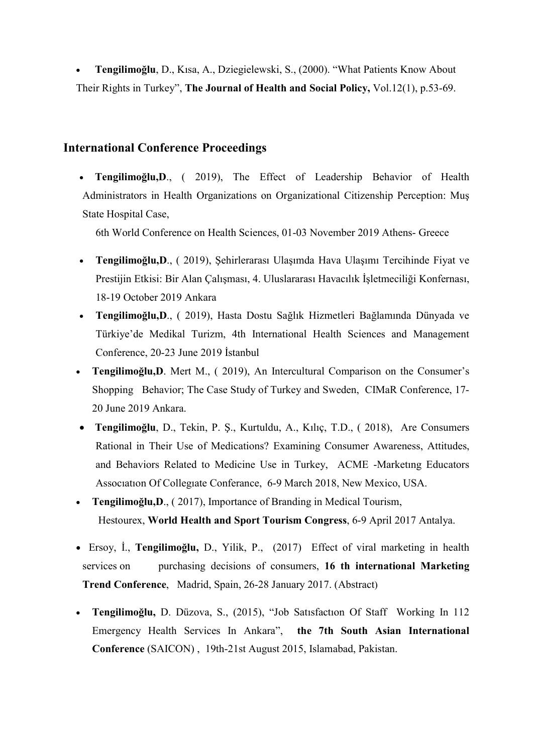Tengilimoğlu, D., Kısa, A., Dziegielewski, S., (2000). "What Patients Know About Their Rights in Turkey", The Journal of Health and Social Policy, Vol.12(1), p.53-69.

#### International Conference Proceedings

• Tengilimoğlu, D., ( 2019), The Effect of Leadership Behavior of Health Administrators in Health Organizations on Organizational Citizenship Perception: Muş State Hospital Case,

6th World Conference on Health Sciences, 01-03 November 2019 Athens- Greece

- Tengilimoğlu,D., ( 2019), Şehirlerarası Ulaşımda Hava Ulaşımı Tercihinde Fiyat ve Prestijin Etkisi: Bir Alan Çalışması, 4. Uluslararası Havacılık İşletmeciliği Konfernası, 18-19 October 2019 Ankara
- Tengilimoğlu,D., ( 2019), Hasta Dostu Sağlık Hizmetleri Bağlamında Dünyada ve Türkiye'de Medikal Turizm, 4th International Health Sciences and Management Conference, 20-23 June 2019 İstanbul
- Tengilimoğlu,D. Mert M., ( 2019), An Intercultural Comparison on the Consumer's Shopping Behavior; The Case Study of Turkey and Sweden, CIMaR Conference, 17- 20 June 2019 Ankara.
- Tengilimoğlu, D., Tekin, P. Ş., Kurtuldu, A., Kılıç, T.D., ( 2018), Are Consumers Rational in Their Use of Medications? Examining Consumer Awareness, Attitudes, and Behaviors Related to Medicine Use in Turkey, ACME -Marketıng Educators Assocıatıon Of Collegıate Conferance, 6-9 March 2018, New Mexico, USA.
- Tengilimoğlu,D., ( 2017), Importance of Branding in Medical Tourism, Hestourex, World Health and Sport Tourism Congress, 6-9 April 2017 Antalya.
- Ersoy, İ., Tengilimoğlu, D., Yilik, P., (2017) Effect of viral marketing in health services on purchasing decisions of consumers, 16 th international Marketing Trend Conference, Madrid, Spain, 26-28 January 2017. (Abstract)
- Tengilimoğlu, D. Düzova, S., (2015), "Job Satısfactıon Of Staff Working In 112 Emergency Health Services In Ankara", the 7th South Asian International Conference (SAICON) , 19th-21st August 2015, Islamabad, Pakistan.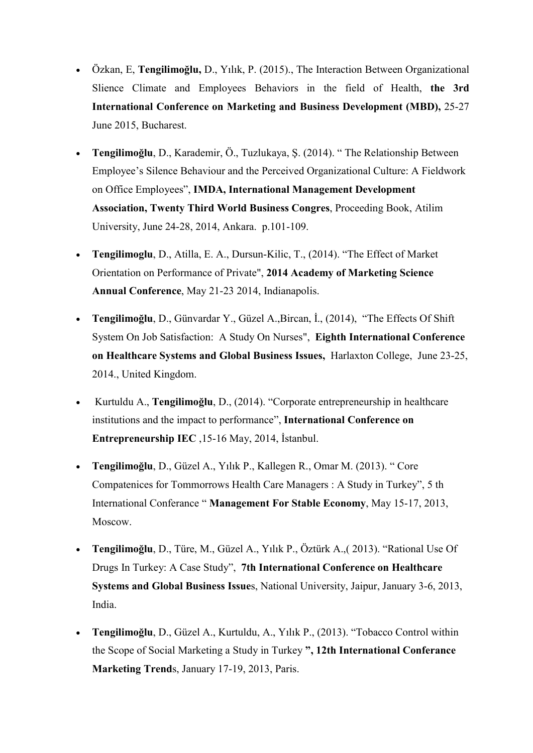- Özkan, E, Tengilimoğlu, D., Yılık, P. (2015)., The Interaction Between Organizational Slience Climate and Employees Behaviors in the field of Health, the 3rd International Conference on Marketing and Business Development (MBD), 25-27 June 2015, Bucharest.
- Tengilimoğlu, D., Karademir, Ö., Tuzlukaya, Ş. (2014). " The Relationship Between Employee's Silence Behaviour and the Perceived Organizational Culture: A Fieldwork on Office Employees", IMDA, International Management Development Association, Twenty Third World Business Congres, Proceeding Book, Atilim University, June 24-28, 2014, Ankara. p.101-109.
- Tengilimoglu, D., Atilla, E. A., Dursun-Kilic, T., (2014). "The Effect of Market Orientation on Performance of Private", 2014 Academy of Marketing Science Annual Conference, May 21-23 2014, Indianapolis.
- Tengilimoğlu, D., Günvardar Y., Güzel A.,Bircan, İ., (2014), "The Effects Of Shift System On Job Satisfaction: A Study On Nurses", Eighth International Conference on Healthcare Systems and Global Business Issues, Harlaxton College, June 23-25, 2014., United Kingdom.
- Kurtuldu A., Tengilimoğlu, D., (2014). "Corporate entrepreneurship in healthcare institutions and the impact to performance", International Conference on Entrepreneurship IEC ,15-16 May, 2014, İstanbul.
- Tengilimoğlu, D., Güzel A., Yılık P., Kallegen R., Omar M. (2013). " Core Compatenices for Tommorrows Health Care Managers : A Study in Turkey", 5 th International Conferance " Management For Stable Economy, May 15-17, 2013, Moscow.
- Tengilimoğlu, D., Türe, M., Güzel A., Yılık P., Öztürk A.,( 2013). "Rational Use Of Drugs In Turkey: A Case Study", 7th International Conference on Healthcare Systems and Global Business Issues, National University, Jaipur, January 3-6, 2013, India.
- Tengilimoğlu, D., Güzel A., Kurtuldu, A., Yılık P., (2013). "Tobacco Control within the Scope of Social Marketing a Study in Turkey ", 12th International Conferance Marketing Trends, January 17-19, 2013, Paris.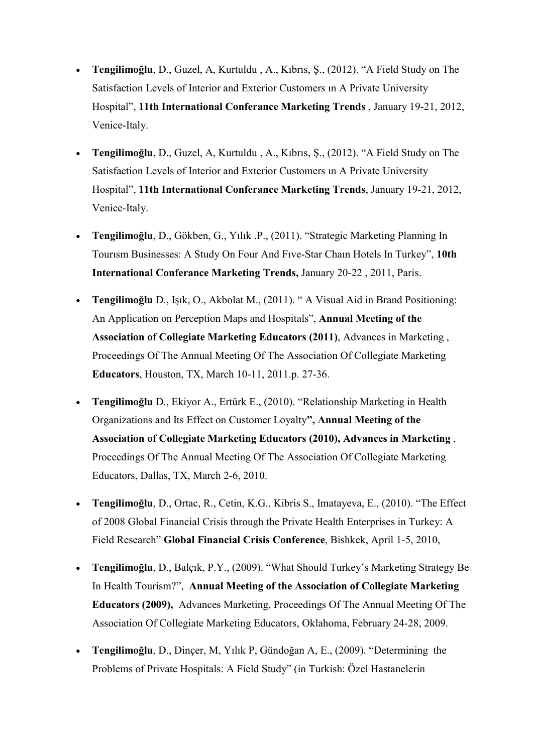- Tengilimoğlu, D., Guzel, A, Kurtuldu , A., Kıbrıs, Ş., (2012). "A Field Study on The Satisfaction Levels of Interior and Exterior Customers ın A Private University Hospital", 11th International Conferance Marketing Trends , January 19-21, 2012, Venice-Italy.
- Tengilimoğlu, D., Guzel, A, Kurtuldu , A., Kıbrıs, Ş., (2012). "A Field Study on The Satisfaction Levels of Interior and Exterior Customers ın A Private University Hospital", 11th International Conferance Marketing Trends, January 19-21, 2012, Venice-Italy.
- Tengilimoğlu, D., Gökben, G., Yılık .P., (2011). "Strategic Marketing Planning In Tourısm Businesses: A Study On Four And Fıve-Star Chaın Hotels In Turkey", 10th International Conferance Marketing Trends, January 20-22 , 2011, Paris.
- Tengilimoğlu D., Işık, O., Akbolat M., (2011). " A Visual Aid in Brand Positioning: An Application on Perception Maps and Hospitals", Annual Meeting of the Association of Collegiate Marketing Educators (2011), Advances in Marketing , Proceedings Of The Annual Meeting Of The Association Of Collegiate Marketing Educators, Houston, TX, March 10-11, 2011.p. 27-36.
- Tengilimoğlu D., Ekiyor A., Ertürk E., (2010). "Relationship Marketing in Health Organizations and Its Effect on Customer Loyalty", Annual Meeting of the Association of Collegiate Marketing Educators (2010), Advances in Marketing , Proceedings Of The Annual Meeting Of The Association Of Collegiate Marketing Educators, Dallas, TX, March 2-6, 2010.
- Tengilimoğlu, D., Ortac, R., Cetin, K.G., Kibris S., Imatayeva, E., (2010). "The Effect of 2008 Global Financial Crisis through the Private Health Enterprises in Turkey: A Field Research" Global Financial Crisis Conference, Bishkek, April 1-5, 2010,
- Tengilimoğlu, D., Balçık, P.Y., (2009). "What Should Turkey's Marketing Strategy Be In Health Tourism?", Annual Meeting of the Association of Collegiate Marketing Educators (2009), Advances Marketing, Proceedings Of The Annual Meeting Of The Association Of Collegiate Marketing Educators, Oklahoma, February 24-28, 2009.
- Tengilimoğlu, D., Dinçer, M, Yılık P, Gündoğan A, E., (2009). "Determining the Problems of Private Hospitals: A Field Study" (in Turkish: Özel Hastanelerin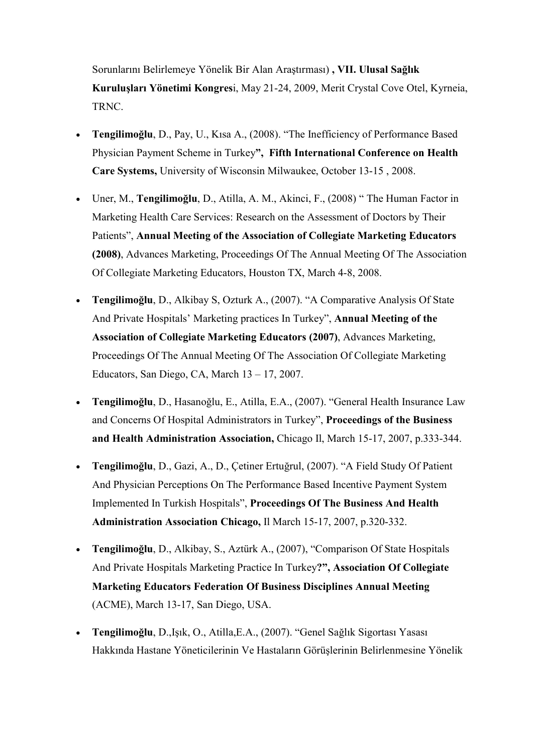Sorunlarını Belirlemeye Yönelik Bir Alan Araştırması) , VII. Ulusal Sağlık Kuruluşları Yönetimi Kongresi, May 21-24, 2009, Merit Crystal Cove Otel, Kyrneia, TRNC.

- Tengilimoğlu, D., Pay, U., Kısa A., (2008). "The Inefficiency of Performance Based Physician Payment Scheme in Turkey", Fifth International Conference on Health Care Systems, University of Wisconsin Milwaukee, October 13-15 , 2008.
- Uner, M., Tengilimoğlu, D., Atilla, A. M., Akinci, F., (2008) " The Human Factor in Marketing Health Care Services: Research on the Assessment of Doctors by Their Patients", Annual Meeting of the Association of Collegiate Marketing Educators (2008), Advances Marketing, Proceedings Of The Annual Meeting Of The Association Of Collegiate Marketing Educators, Houston TX, March 4-8, 2008.
- Tengilimoğlu, D., Alkibay S, Ozturk A., (2007). "A Comparative Analysis Of State And Private Hospitals' Marketing practices In Turkey", Annual Meeting of the Association of Collegiate Marketing Educators (2007), Advances Marketing, Proceedings Of The Annual Meeting Of The Association Of Collegiate Marketing Educators, San Diego, CA, March 13 – 17, 2007.
- Tengilimoğlu, D., Hasanoğlu, E., Atilla, E.A., (2007). "General Health Insurance Law and Concerns Of Hospital Administrators in Turkey", Proceedings of the Business and Health Administration Association, Chicago Il, March 15-17, 2007, p.333-344.
- Tengilimoğlu, D., Gazi, A., D., Çetiner Ertuğrul, (2007). "A Field Study Of Patient And Physician Perceptions On The Performance Based Incentive Payment System Implemented In Turkish Hospitals", Proceedings Of The Business And Health Administration Association Chicago, Il March 15-17, 2007, p.320-332.
- Tengilimoğlu, D., Alkibay, S., Aztürk A., (2007), "Comparison Of State Hospitals And Private Hospitals Marketing Practice In Turkey?", Association Of Collegiate Marketing Educators Federation Of Business Disciplines Annual Meeting (ACME), March 13-17, San Diego, USA.
- Tengilimoğlu, D.,Işık, O., Atilla,E.A., (2007). "Genel Sağlık Sigortası Yasası Hakkında Hastane Yöneticilerinin Ve Hastaların Görüşlerinin Belirlenmesine Yönelik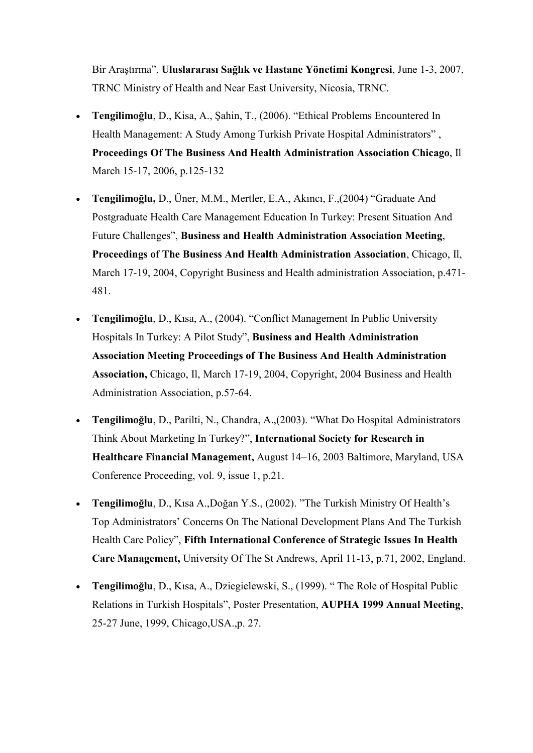Bir Araştırma", Uluslararası Sağlık ve Hastane Yönetimi Kongresi, June 1-3, 2007, TRNC Ministry of Health and Near East University, Nicosia, TRNC.

- Tengilimoğlu, D., Kisa, A., Şahin, T., (2006). "Ethical Problems Encountered In Health Management: A Study Among Turkish Private Hospital Administrators" , Proceedings Of The Business And Health Administration Association Chicago, Il March 15-17, 2006, p.125-132
- Tengilimoğlu, D., Üner, M.M., Mertler, E.A., Akıncı, F.,(2004) "Graduate And Postgraduate Health Care Management Education In Turkey: Present Situation And Future Challenges", Business and Health Administration Association Meeting, Proceedings of The Business And Health Administration Association, Chicago, Il, March 17-19, 2004, Copyright Business and Health administration Association, p.471- 481.
- Tengilimoğlu, D., Kısa, A., (2004). "Conflict Management In Public University Hospitals In Turkey: A Pilot Study", Business and Health Administration Association Meeting Proceedings of The Business And Health Administration Association, Chicago, Il, March 17-19, 2004, Copyright, 2004 Business and Health Administration Association, p.57-64.
- Tengilimoğlu, D., Parilti, N., Chandra, A.,(2003). "What Do Hospital Administrators Think About Marketing In Turkey?", International Society for Research in Healthcare Financial Management, August 14–16, 2003 Baltimore, Maryland, USA Conference Proceeding, vol. 9, issue 1, p.21.
- Tengilimoğlu, D., Kısa A.,Doğan Y.S., (2002). "The Turkish Ministry Of Health's Top Administrators' Concerns On The National Development Plans And The Turkish Health Care Policy", Fifth International Conference of Strategic Issues In Health Care Management, University Of The St Andrews, April 11-13, p.71, 2002, England.
- Tengilimoğlu, D., Kısa, A., Dziegielewski, S., (1999). " The Role of Hospital Public Relations in Turkish Hospitals", Poster Presentation, AUPHA 1999 Annual Meeting, 25-27 June, 1999, Chicago,USA.,p. 27.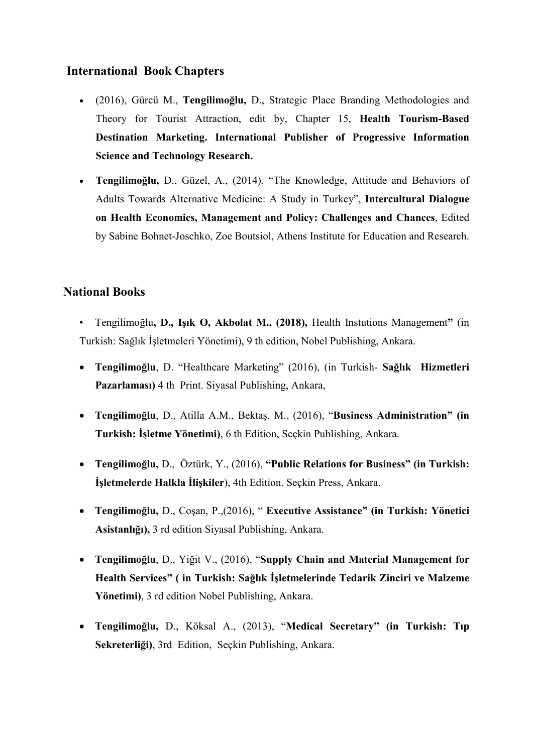### International Book Chapters

- (2016), Gürcü M., Tengilimoğlu, D., Strategic Place Branding Methodologies and Theory for Tourist Attraction, edit by, Chapter 15, Health Tourism-Based Destination Marketing. International Publisher of Progressive Information Science and Technology Research.
- Tengilimoğlu, D., Güzel, A., (2014). "The Knowledge, Attitude and Behaviors of Adults Towards Alternative Medicine: A Study in Turkey", Intercultural Dialogue on Health Economics, Management and Policy: Challenges and Chances, Edited by Sabine Bohnet-Joschko, Zoe Boutsiol, Athens Institute for Education and Research.

## National Books

- Tengilimoğlu, D., Işık O, Akbolat M., (2018), Health Instutions Management" (in Turkish: Sağlık İşletmeleri Yönetimi), 9 th edition, Nobel Publishing, Ankara.
- Tengilimoğlu, D. "Healthcare Marketing" (2016), (in Turkish- Sağlık Hizmetleri Pazarlaması) 4 th Print. Siyasal Publishing, Ankara,
- Tengilimoğlu, D., Atilla A.M., Bektaş, M., (2016), "Business Administration" (in Turkish: İşletme Yönetimi), 6 th Edition, Seçkin Publishing, Ankara.
- Tengilimoğlu, D., Öztürk, Y., (2016), "Public Relations for Business" (in Turkish: İşletmelerde Halkla İlişkiler), 4th Edition. Seçkin Press, Ankara.
- Tengilimoğlu, D., Coşan, P.,(2016), " Executive Assistance" (in Turkish: Yönetici Asistanlığı), 3 rd edition Siyasal Publishing, Ankara.
- Tengilimoğlu, D., Yiğit V., (2016), "Supply Chain and Material Management for Health Services" ( in Turkish: Sağlık İşletmelerinde Tedarik Zinciri ve Malzeme Yönetimi), 3 rd edition Nobel Publishing, Ankara.
- Tengilimoğlu, D., Köksal A., (2013), "Medical Secretary" (in Turkish: Tıp Sekreterliği), 3rd Edition, Seçkin Publishing, Ankara.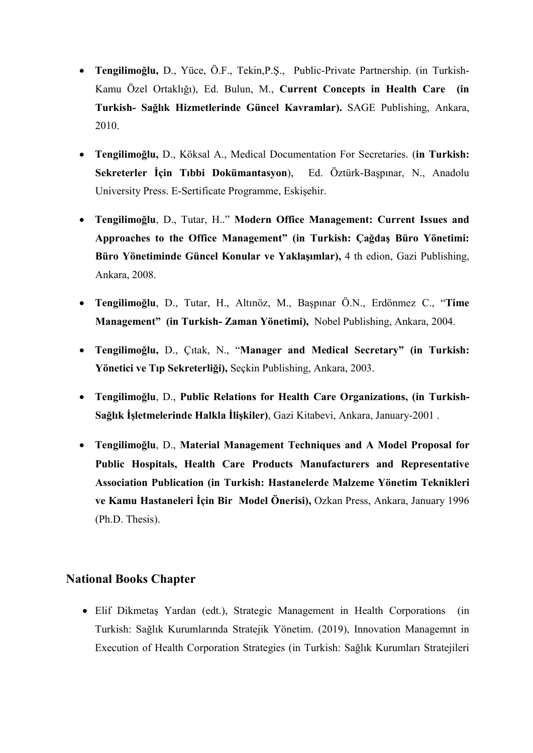- Tengilimoğlu, D., Yüce, Ö.F., Tekin,P.Ş., Public-Private Partnership. (in Turkish-Kamu Özel Ortaklığı), Ed. Bulun, M., Current Concepts in Health Care (in Turkish- Sağlık Hizmetlerinde Güncel Kavramlar). SAGE Publishing, Ankara, 2010.
- Tengilimoğlu, D., Köksal A., Medical Documentation For Secretaries. (in Turkish: Sekreterler İçin Tıbbi Dokümantasyon), Ed. Öztürk-Başpınar, N., Anadolu University Press. E-Sertificate Programme, Eskişehir.
- Tengilimoğlu, D., Tutar, H.." Modern Office Management: Current Issues and Approaches to the Office Management" (in Turkish: Çağdaş Büro Yönetimi: Büro Yönetiminde Güncel Konular ve Yaklaşımlar), 4 th edion, Gazi Publishing, Ankara, 2008.
- Tengilimoğlu, D., Tutar, H., Altınöz, M., Başpınar Ö.N., Erdönmez C., "Time Management" (in Turkish- Zaman Yönetimi), Nobel Publishing, Ankara, 2004.
- Tengilimoğlu, D., Çıtak, N., "Manager and Medical Secretary" (in Turkish: Yönetici ve Tıp Sekreterliği), Seçkin Publishing, Ankara, 2003.
- Tengilimoğlu, D., Public Relations for Health Care Organizations, (in Turkish-Sağlık İşletmelerinde Halkla İlişkiler), Gazi Kitabevi, Ankara, January-2001 .
- Tengilimoğlu, D., Material Management Techniques and A Model Proposal for Public Hospitals, Health Care Products Manufacturers and Representative Association Publication (in Turkish: Hastanelerde Malzeme Yönetim Teknikleri ve Kamu Hastaneleri İçin Bir Model Önerisi), Ozkan Press, Ankara, January 1996 (Ph.D. Thesis).

#### National Books Chapter

 Elif Dikmetaş Yardan (edt.), Strategic Management in Health Corporations (in Turkish: Sağlık Kurumlarında Stratejik Yönetim. (2019), Innovation Managemnt in Execution of Health Corporation Strategies (in Turkish: Sağlık Kurumları Stratejileri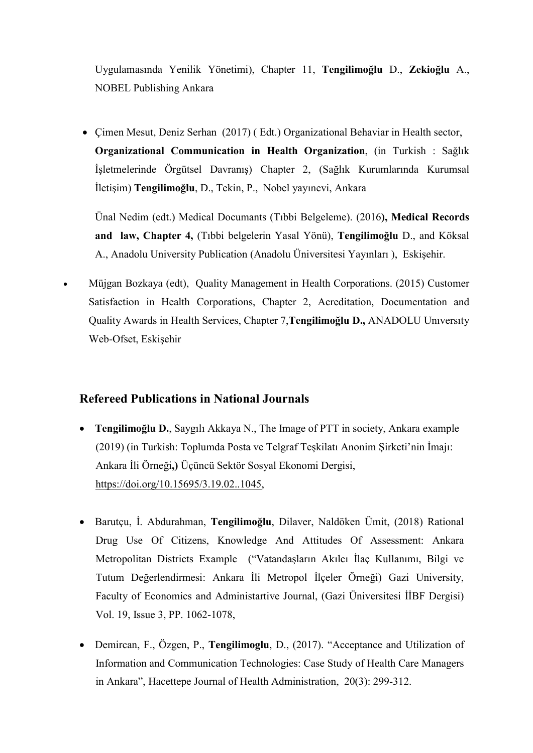Uygulamasında Yenilik Yönetimi), Chapter 11, Tengilimoğlu D., Zekioğlu A., NOBEL Publishing Ankara

 Çimen Mesut, Deniz Serhan (2017) ( Edt.) Organizational Behaviar in Health sector, Organizational Communication in Health Organization, (in Turkish : Sağlık İşletmelerinde Örgütsel Davranış) Chapter 2, (Sağlık Kurumlarında Kurumsal İletişim) Tengilimoğlu, D., Tekin, P., Nobel yayınevi, Ankara

Ünal Nedim (edt.) Medical Documants (Tıbbi Belgeleme). (2016), Medical Records and law, Chapter 4, (Tıbbi belgelerin Yasal Yönü), Tengilimoğlu D., and Köksal A., Anadolu University Publication (Anadolu Üniversitesi Yayınları ), Eskişehir.

 Müjgan Bozkaya (edt), Quality Management in Health Corporations. (2015) Customer Satisfaction in Health Corporations, Chapter 2, Acreditation, Documentation and Quality Awards in Health Services, Chapter 7,Tengilimoğlu D., ANADOLU Unıversıty Web-Ofset, Eskişehir

#### Refereed Publications in National Journals

- Tengilimoğlu D., Saygılı Akkaya N., The Image of PTT in society, Ankara example (2019) (in Turkish: Toplumda Posta ve Telgraf Teşkilatı Anonim Şirketi'nin İmajı: Ankara İli Örneği,) Üçüncü Sektör Sosyal Ekonomi Dergisi, https://doi.org/10.15695/3.19.02..1045,
- Barutçu, İ. Abdurahman, Tengilimoğlu, Dilaver, Naldöken Ümit, (2018) Rational Drug Use Of Citizens, Knowledge And Attitudes Of Assessment: Ankara Metropolitan Districts Example ("Vatandaşların Akılcı İlaç Kullanımı, Bilgi ve Tutum Değerlendirmesi: Ankara İli Metropol İlçeler Örneği) Gazi University, Faculty of Economics and Administartive Journal, (Gazi Üniversitesi İİBF Dergisi) Vol. 19, Issue 3, PP. 1062-1078,
- Demircan, F., Özgen, P., Tengilimoglu, D., (2017). "Acceptance and Utilization of Information and Communication Technologies: Case Study of Health Care Managers in Ankara", Hacettepe Journal of Health Administration, 20(3): 299-312.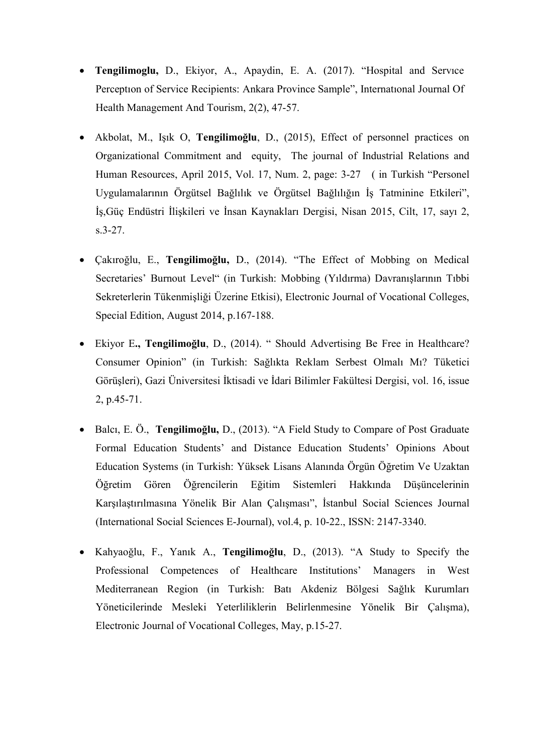- Tengilimoglu, D., Ekiyor, A., Apaydin, E. A. (2017). "Hospital and Servıce Perceptıon of Service Recipients: Ankara Province Sample", Internatıonal Journal Of Health Management And Tourism, 2(2), 47-57.
- Akbolat, M., Işık O, Tengilimoğlu, D., (2015), Effect of personnel practices on Organizational Commitment and equity, The journal of Industrial Relations and Human Resources, April 2015, Vol. 17, Num. 2, page: 3-27 ( in Turkish "Personel Uygulamalarının Örgütsel Bağlılık ve Örgütsel Bağlılığın İş Tatminine Etkileri", İş,Güç Endüstri İlişkileri ve İnsan Kaynakları Dergisi, Nisan 2015, Cilt, 17, sayı 2, s.3-27.
- Çakıroğlu, E., Tengilimoğlu, D., (2014). "The Effect of Mobbing on Medical Secretaries' Burnout Level" (in Turkish: Mobbing (Yıldırma) Davranışlarının Tıbbi Sekreterlerin Tükenmişliği Üzerine Etkisi), Electronic Journal of Vocational Colleges, Special Edition, August 2014, p.167-188.
- Ekiyor E., Tengilimoğlu, D., (2014). " Should Advertising Be Free in Healthcare? Consumer Opinion" (in Turkish: Sağlıkta Reklam Serbest Olmalı Mı? Tüketici Görüşleri), Gazi Üniversitesi İktisadi ve İdari Bilimler Fakültesi Dergisi, vol. 16, issue 2, p.45-71.
- Balcı, E. Ö., Tengilimoğlu, D., (2013). "A Field Study to Compare of Post Graduate Formal Education Students' and Distance Education Students' Opinions About Education Systems (in Turkish: Yüksek Lisans Alanında Örgün Öğretim Ve Uzaktan Öğretim Gören Öğrencilerin Eğitim Sistemleri Hakkında Düşüncelerinin Karşılaştırılmasına Yönelik Bir Alan Çalışması", İstanbul Social Sciences Journal (International Social Sciences E-Journal), vol.4, p. 10-22., ISSN: 2147-3340.
- Kahyaoğlu, F., Yanık A., Tengilimoğlu, D., (2013). "A Study to Specify the Professional Competences of Healthcare Institutions' Managers in West Mediterranean Region (in Turkish: Batı Akdeniz Bölgesi Sağlık Kurumları Yöneticilerinde Mesleki Yeterliliklerin Belirlenmesine Yönelik Bir Çalışma), Electronic Journal of Vocational Colleges, May, p.15-27.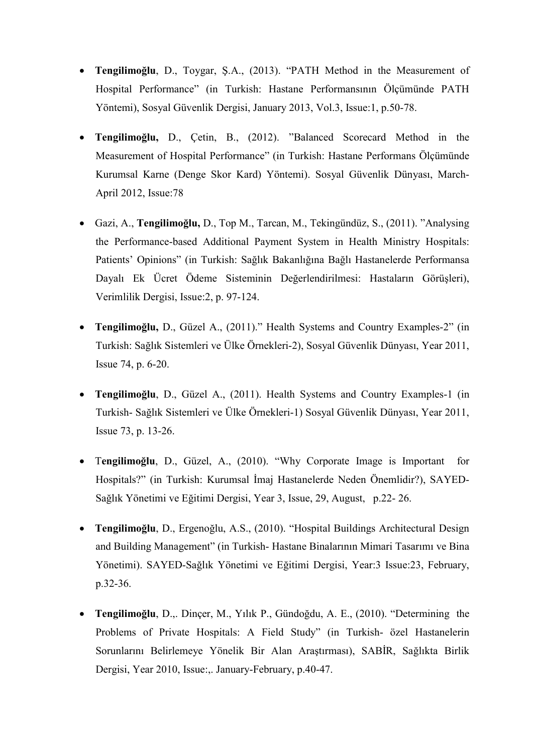- Tengilimoğlu, D., Toygar, Ş.A., (2013). "PATH Method in the Measurement of Hospital Performance" (in Turkish: Hastane Performansının Ölçümünde PATH Yöntemi), Sosyal Güvenlik Dergisi, January 2013, Vol.3, Issue:1, p.50-78.
- Tengilimoğlu, D., Çetin, B., (2012). "Balanced Scorecard Method in the Measurement of Hospital Performance" (in Turkish: Hastane Performans Ölçümünde Kurumsal Karne (Denge Skor Kard) Yöntemi). Sosyal Güvenlik Dünyası, March-April 2012, Issue:78
- Gazi, A., Tengilimoğlu, D., Top M., Tarcan, M., Tekingündüz, S., (2011). "Analysing the Performance-based Additional Payment System in Health Ministry Hospitals: Patients' Opinions" (in Turkish: Sağlık Bakanlığına Bağlı Hastanelerde Performansa Dayalı Ek Ücret Ödeme Sisteminin Değerlendirilmesi: Hastaların Görüşleri), Verimlilik Dergisi, Issue:2, p. 97-124.
- Tengilimoğlu, D., Güzel A., (2011)." Health Systems and Country Examples-2" (in Turkish: Sağlık Sistemleri ve Ülke Örnekleri-2), Sosyal Güvenlik Dünyası, Year 2011, Issue 74, p. 6-20.
- Tengilimoğlu, D., Güzel A., (2011). Health Systems and Country Examples-1 (in Turkish- Sağlık Sistemleri ve Ülke Örnekleri-1) Sosyal Güvenlik Dünyası, Year 2011, Issue 73, p. 13-26.
- Tengilimoğlu, D., Güzel, A., (2010). "Why Corporate Image is Important for Hospitals?" (in Turkish: Kurumsal İmaj Hastanelerde Neden Önemlidir?), SAYED-Sağlık Yönetimi ve Eğitimi Dergisi, Year 3, Issue, 29, August, p.22- 26.
- Tengilimoğlu, D., Ergenoğlu, A.S., (2010). "Hospital Buildings Architectural Design and Building Management" (in Turkish- Hastane Binalarının Mimari Tasarımı ve Bina Yönetimi). SAYED-Sağlık Yönetimi ve Eğitimi Dergisi, Year:3 Issue:23, February, p.32-36.
- Tengilimoğlu, D.,. Dinçer, M., Yılık P., Gündoğdu, A. E., (2010). "Determining the Problems of Private Hospitals: A Field Study" (in Turkish- özel Hastanelerin Sorunlarını Belirlemeye Yönelik Bir Alan Araştırması), SABİR, Sağlıkta Birlik Dergisi, Year 2010, Issue:,. January-February, p.40-47.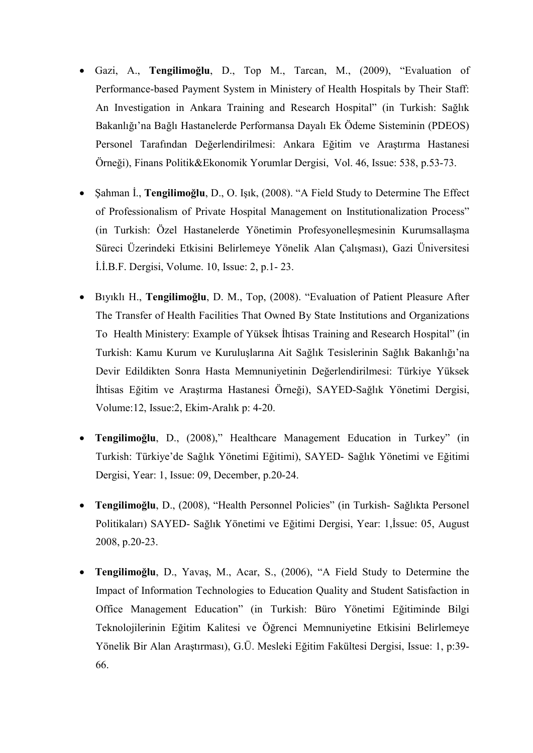- Gazi, A., Tengilimoğlu, D., Top M., Tarcan, M., (2009), "Evaluation of Performance-based Payment System in Ministery of Health Hospitals by Their Staff: An Investigation in Ankara Training and Research Hospital" (in Turkish: Sağlık Bakanlığı'na Bağlı Hastanelerde Performansa Dayalı Ek Ödeme Sisteminin (PDEOS) Personel Tarafından Değerlendirilmesi: Ankara Eğitim ve Araştırma Hastanesi Örneği), Finans Politik&Ekonomik Yorumlar Dergisi, Vol. 46, Issue: 538, p.53-73.
- Şahman İ., Tengilimoğlu, D., O. Işık, (2008). "A Field Study to Determine The Effect of Professionalism of Private Hospital Management on Institutionalization Process" (in Turkish: Özel Hastanelerde Yönetimin Profesyonelleşmesinin Kurumsallaşma Süreci Üzerindeki Etkisini Belirlemeye Yönelik Alan Çalışması), Gazi Üniversitesi İ.İ.B.F. Dergisi, Volume. 10, Issue: 2, p.1- 23.
- Bıyıklı H., Tengilimoğlu, D. M., Top, (2008). "Evaluation of Patient Pleasure After The Transfer of Health Facilities That Owned By State Institutions and Organizations To Health Ministery: Example of Yüksek İhtisas Training and Research Hospital" (in Turkish: Kamu Kurum ve Kuruluşlarına Ait Sağlık Tesislerinin Sağlık Bakanlığı'na Devir Edildikten Sonra Hasta Memnuniyetinin Değerlendirilmesi: Türkiye Yüksek İhtisas Eğitim ve Araştırma Hastanesi Örneği), SAYED-Sağlık Yönetimi Dergisi, Volume:12, Issue:2, Ekim-Aralık p: 4-20.
- Tengilimoğlu, D., (2008)," Healthcare Management Education in Turkey" (in Turkish: Türkiye'de Sağlık Yönetimi Eğitimi), SAYED- Sağlık Yönetimi ve Eğitimi Dergisi, Year: 1, Issue: 09, December, p.20-24.
- Tengilimoğlu, D., (2008), "Health Personnel Policies" (in Turkish- Sağlıkta Personel Politikaları) SAYED- Sağlık Yönetimi ve Eğitimi Dergisi, Year: 1,İssue: 05, August 2008, p.20-23.
- Tengilimoğlu, D., Yavaş, M., Acar, S., (2006), "A Field Study to Determine the Impact of Information Technologies to Education Quality and Student Satisfaction in Office Management Education" (in Turkish: Büro Yönetimi Eğitiminde Bilgi Teknolojilerinin Eğitim Kalitesi ve Öğrenci Memnuniyetine Etkisini Belirlemeye Yönelik Bir Alan Araştırması), G.Ü. Mesleki Eğitim Fakültesi Dergisi, Issue: 1, p:39- 66.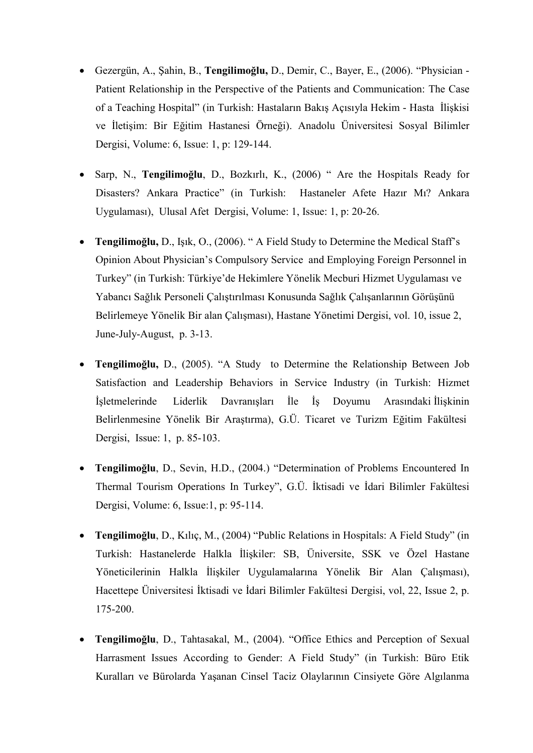- Gezergün, A., Şahin, B., Tengilimoğlu, D., Demir, C., Bayer, E., (2006). "Physician Patient Relationship in the Perspective of the Patients and Communication: The Case of a Teaching Hospital" (in Turkish: Hastaların Bakış Açısıyla Hekim - Hasta İlişkisi ve İletişim: Bir Eğitim Hastanesi Örneği). Anadolu Üniversitesi Sosyal Bilimler Dergisi, Volume: 6, Issue: 1, p: 129-144.
- Sarp, N., Tengilimoğlu, D., Bozkırlı, K., (2006) " Are the Hospitals Ready for Disasters? Ankara Practice" (in Turkish: Hastaneler Afete Hazır Mı? Ankara Uygulaması), Ulusal Afet Dergisi, Volume: 1, Issue: 1, p: 20-26.
- Tengilimoğlu, D., Işık, O., (2006). " A Field Study to Determine the Medical Staff's Opinion About Physician's Compulsory Service and Employing Foreign Personnel in Turkey" (in Turkish: Türkiye'de Hekimlere Yönelik Mecburi Hizmet Uygulaması ve Yabancı Sağlık Personeli Çalıştırılması Konusunda Sağlık Çalışanlarının Görüşünü Belirlemeye Yönelik Bir alan Çalışması), Hastane Yönetimi Dergisi, vol. 10, issue 2, June-July-August, p. 3-13.
- Tengilimoğlu, D., (2005). "A Study to Determine the Relationship Between Job Satisfaction and Leadership Behaviors in Service Industry (in Turkish: Hizmet İşletmelerinde Liderlik Davranışları İle İş Doyumu Arasındaki İlişkinin Belirlenmesine Yönelik Bir Araştırma), G.Ü. Ticaret ve Turizm Eğitim Fakültesi Dergisi, Issue: 1, p. 85-103.
- Tengilimoğlu, D., Sevin, H.D., (2004.) "Determination of Problems Encountered In Thermal Tourism Operations In Turkey", G.Ü. İktisadi ve İdari Bilimler Fakültesi Dergisi, Volume: 6, Issue:1, p: 95-114.
- Tengilimoğlu, D., Kılıç, M., (2004) "Public Relations in Hospitals: A Field Study" (in Turkish: Hastanelerde Halkla İlişkiler: SB, Üniversite, SSK ve Özel Hastane Yöneticilerinin Halkla İlişkiler Uygulamalarına Yönelik Bir Alan Çalışması), Hacettepe Üniversitesi İktisadi ve İdari Bilimler Fakültesi Dergisi, vol, 22, Issue 2, p. 175-200.
- Tengilimoğlu, D., Tahtasakal, M., (2004). "Office Ethics and Perception of Sexual Harrasment Issues According to Gender: A Field Study" (in Turkish: Büro Etik Kuralları ve Bürolarda Yaşanan Cinsel Taciz Olaylarının Cinsiyete Göre Algılanma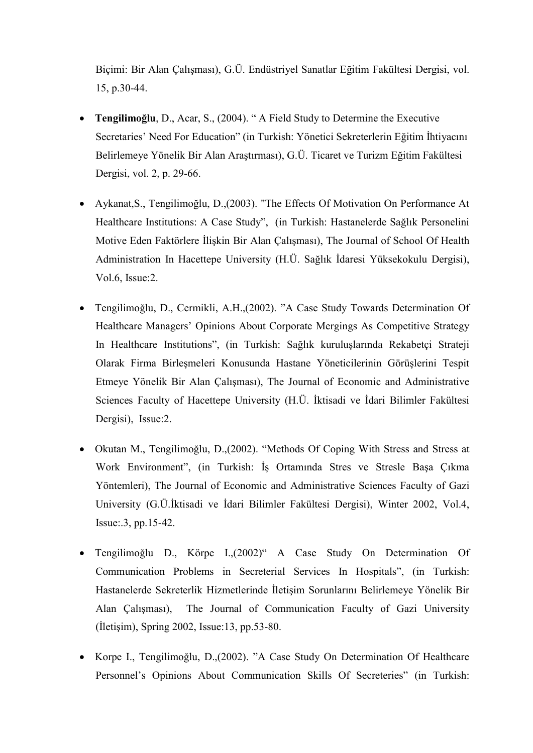Biçimi: Bir Alan Çalışması), G.Ü. Endüstriyel Sanatlar Eğitim Fakültesi Dergisi, vol. 15, p.30-44.

- Tengilimoğlu, D., Acar, S., (2004). " A Field Study to Determine the Executive Secretaries' Need For Education" (in Turkish: Yönetici Sekreterlerin Eğitim İhtiyacını Belirlemeye Yönelik Bir Alan Araştırması), G.Ü. Ticaret ve Turizm Eğitim Fakültesi Dergisi, vol. 2, p. 29-66.
- Aykanat,S., Tengilimoğlu, D.,(2003). "The Effects Of Motivation On Performance At Healthcare Institutions: A Case Study", (in Turkish: Hastanelerde Sağlık Personelini Motive Eden Faktörlere İlişkin Bir Alan Çalışması), The Journal of School Of Health Administration In Hacettepe University (H.Ü. Sağlık İdaresi Yüksekokulu Dergisi), Vol.6, Issue:2.
- Tengilimoğlu, D., Cermikli, A.H.,(2002). "A Case Study Towards Determination Of Healthcare Managers' Opinions About Corporate Mergings As Competitive Strategy In Healthcare Institutions", (in Turkish: Sağlık kuruluşlarında Rekabetçi Strateji Olarak Firma Birleşmeleri Konusunda Hastane Yöneticilerinin Görüşlerini Tespit Etmeye Yönelik Bir Alan Çalışması), The Journal of Economic and Administrative Sciences Faculty of Hacettepe University (H.Ü. İktisadi ve İdari Bilimler Fakültesi Dergisi), Issue:2.
- Okutan M., Tengilimoğlu, D.,(2002). "Methods Of Coping With Stress and Stress at Work Environment", (in Turkish: İş Ortamında Stres ve Stresle Başa Çıkma Yöntemleri), The Journal of Economic and Administrative Sciences Faculty of Gazi University (G.Ü.İktisadi ve İdari Bilimler Fakültesi Dergisi), Winter 2002, Vol.4, Issue:.3, pp.15-42.
- Tengilimoğlu D., Körpe I.,(2002)" A Case Study On Determination Of Communication Problems in Secreterial Services In Hospitals", (in Turkish: Hastanelerde Sekreterlik Hizmetlerinde İletişim Sorunlarını Belirlemeye Yönelik Bir Alan Çalışması), The Journal of Communication Faculty of Gazi University (İletişim), Spring 2002, Issue:13, pp.53-80.
- Korpe I., Tengilimoğlu, D.,(2002). "A Case Study On Determination Of Healthcare Personnel's Opinions About Communication Skills Of Secreteries" (in Turkish: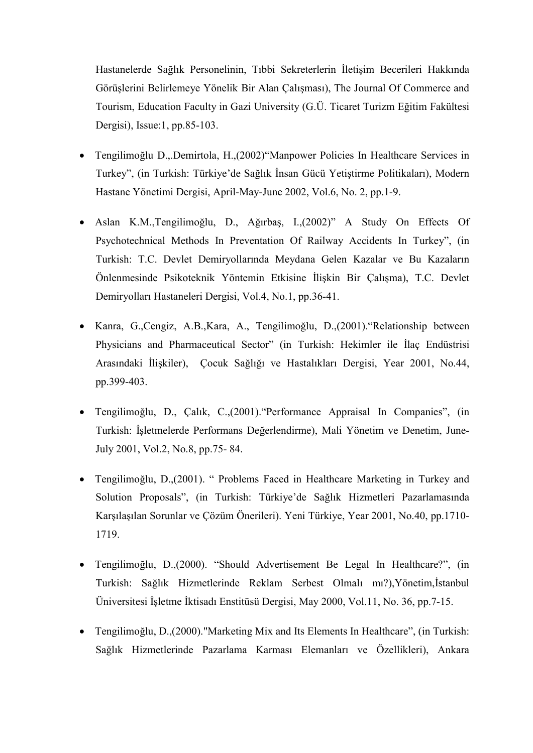Hastanelerde Sağlık Personelinin, Tıbbi Sekreterlerin İletişim Becerileri Hakkında Görüşlerini Belirlemeye Yönelik Bir Alan Çalışması), The Journal Of Commerce and Tourism, Education Faculty in Gazi University (G.Ü. Ticaret Turizm Eğitim Fakültesi Dergisi), Issue:1, pp.85-103.

- Tengilimoğlu D.,.Demirtola, H.,(2002)"Manpower Policies In Healthcare Services in Turkey", (in Turkish: Türkiye'de Sağlık İnsan Gücü Yetiştirme Politikaları), Modern Hastane Yönetimi Dergisi, April-May-June 2002, Vol.6, No. 2, pp.1-9.
- Aslan K.M.,Tengilimoğlu, D., Ağırbaş, I.,(2002)" A Study On Effects Of Psychotechnical Methods In Preventation Of Railway Accidents In Turkey", (in Turkish: T.C. Devlet Demiryollarında Meydana Gelen Kazalar ve Bu Kazaların Önlenmesinde Psikoteknik Yöntemin Etkisine İlişkin Bir Çalışma), T.C. Devlet Demiryolları Hastaneleri Dergisi, Vol.4, No.1, pp.36-41.
- Kanra, G.,Cengiz, A.B.,Kara, A., Tengilimoğlu, D.,(2001)."Relationship between Physicians and Pharmaceutical Sector" (in Turkish: Hekimler ile İlaç Endüstrisi Arasındaki İlişkiler), Çocuk Sağlığı ve Hastalıkları Dergisi, Year 2001, No.44, pp.399-403.
- Tengilimoğlu, D., Çalık, C.,(2001)."Performance Appraisal In Companies", (in Turkish: İşletmelerde Performans Değerlendirme), Mali Yönetim ve Denetim, June-July 2001, Vol.2, No.8, pp.75- 84.
- Tengilimoğlu, D.,(2001). " Problems Faced in Healthcare Marketing in Turkey and Solution Proposals", (in Turkish: Türkiye'de Sağlık Hizmetleri Pazarlamasında Karşılaşılan Sorunlar ve Çözüm Önerileri). Yeni Türkiye, Year 2001, No.40, pp.1710- 1719.
- Tengilimoğlu, D.,(2000). "Should Advertisement Be Legal In Healthcare?", (in Turkish: Sağlık Hizmetlerinde Reklam Serbest Olmalı mı?),Yönetim,İstanbul Üniversitesi İşletme İktisadı Enstitüsü Dergisi, May 2000, Vol.11, No. 36, pp.7-15.
- Tengilimoğlu, D.,(2000)."Marketing Mix and Its Elements In Healthcare", (in Turkish: Sağlık Hizmetlerinde Pazarlama Karması Elemanları ve Özellikleri), Ankara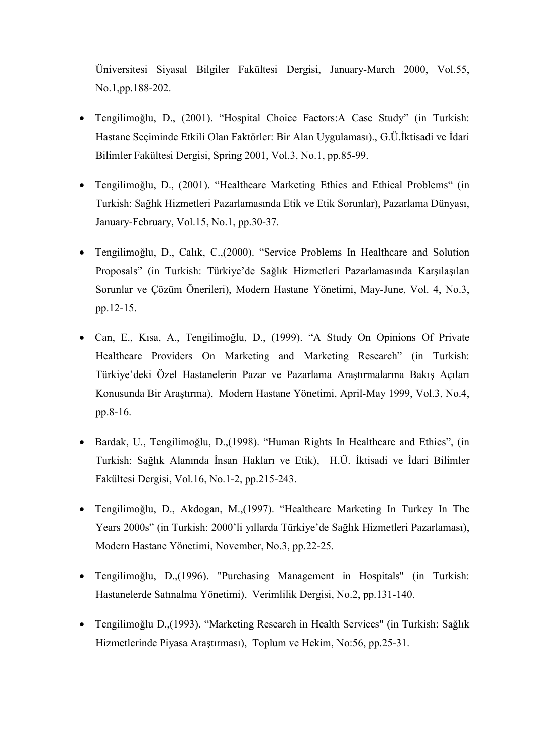Üniversitesi Siyasal Bilgiler Fakültesi Dergisi, January-March 2000, Vol.55, No.1,pp.188-202.

- Tengilimoğlu, D., (2001). "Hospital Choice Factors:A Case Study" (in Turkish: Hastane Seçiminde Etkili Olan Faktörler: Bir Alan Uygulaması)., G.Ü.İktisadi ve İdari Bilimler Fakültesi Dergisi, Spring 2001, Vol.3, No.1, pp.85-99.
- Tengilimoğlu, D., (2001). "Healthcare Marketing Ethics and Ethical Problems" (in Turkish: Sağlık Hizmetleri Pazarlamasında Etik ve Etik Sorunlar), Pazarlama Dünyası, January-February, Vol.15, No.1, pp.30-37.
- Tengilimoğlu, D., Calık, C.,(2000). "Service Problems In Healthcare and Solution Proposals" (in Turkish: Türkiye'de Sağlık Hizmetleri Pazarlamasında Karşılaşılan Sorunlar ve Çözüm Önerileri), Modern Hastane Yönetimi, May-June, Vol. 4, No.3, pp.12-15.
- Can, E., Kısa, A., Tengilimoğlu, D., (1999). "A Study On Opinions Of Private Healthcare Providers On Marketing and Marketing Research" (in Turkish: Türkiye'deki Özel Hastanelerin Pazar ve Pazarlama Araştırmalarına Bakış Açıları Konusunda Bir Araştırma), Modern Hastane Yönetimi, April-May 1999, Vol.3, No.4, pp.8-16.
- Bardak, U., Tengilimoğlu, D.,(1998). "Human Rights In Healthcare and Ethics", (in Turkish: Sağlık Alanında İnsan Hakları ve Etik), H.Ü. İktisadi ve İdari Bilimler Fakültesi Dergisi, Vol.16, No.1-2, pp.215-243.
- Tengilimoğlu, D., Akdogan, M.,(1997). "Healthcare Marketing In Turkey In The Years 2000s" (in Turkish: 2000'li yıllarda Türkiye'de Sağlık Hizmetleri Pazarlaması), Modern Hastane Yönetimi, November, No.3, pp.22-25.
- Tengilimoğlu, D.,(1996). "Purchasing Management in Hospitals" (in Turkish: Hastanelerde Satınalma Yönetimi), Verimlilik Dergisi, No.2, pp.131-140.
- Tengilimoğlu D.,(1993). "Marketing Research in Health Services" (in Turkish: Sağlık Hizmetlerinde Piyasa Araştırması), Toplum ve Hekim, No:56, pp.25-31.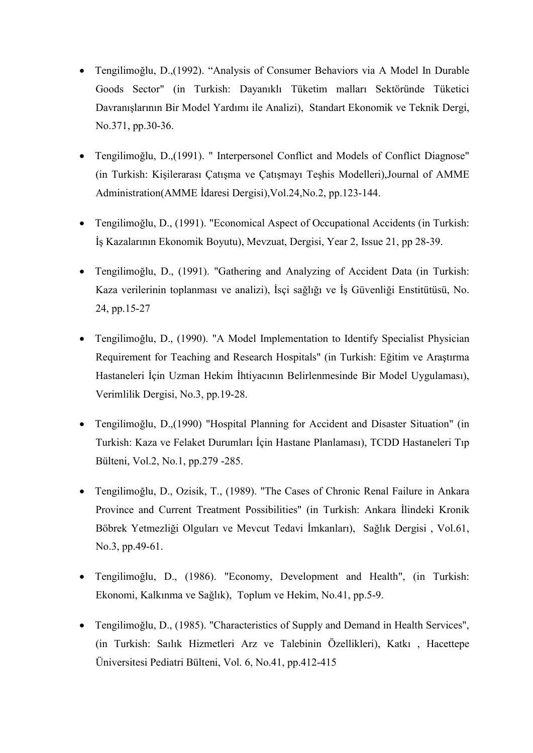- Tengilimoğlu, D.,(1992). "Analysis of Consumer Behaviors via A Model In Durable Goods Sector" (in Turkish: Dayanıklı Tüketim malları Sektöründe Tüketici Davranışlarının Bir Model Yardımı ile Analizi), Standart Ekonomik ve Teknik Dergi, No.371, pp.30-36.
- Tengilimoğlu, D.,(1991). " Interpersonel Conflict and Models of Conflict Diagnose" (in Turkish: Kişilerarası Çatışma ve Çatışmayı Teşhis Modelleri),Journal of AMME Administration(AMME İdaresi Dergisi),Vol.24,No.2, pp.123-144.
- Tengilimoğlu, D., (1991). "Economical Aspect of Occupational Accidents (in Turkish: İş Kazalarının Ekonomik Boyutu), Mevzuat, Dergisi, Year 2, Issue 21, pp 28-39.
- Tengilimoğlu, D., (1991). "Gathering and Analyzing of Accident Data (in Turkish: Kaza verilerinin toplanması ve analizi), İsçi sağlığı ve İş Güvenliği Enstitütüsü, No. 24, pp.15-27
- Tengilimoğlu, D., (1990). "A Model Implementation to Identify Specialist Physician Requirement for Teaching and Research Hospitals" (in Turkish: Eğitim ve Araştırma Hastaneleri İçin Uzman Hekim İhtiyacının Belirlenmesinde Bir Model Uygulaması), Verimlilik Dergisi, No.3, pp.19-28.
- Tengilimoğlu, D.,(1990) "Hospital Planning for Accident and Disaster Situation" (in Turkish: Kaza ve Felaket Durumları İçin Hastane Planlaması), TCDD Hastaneleri Tıp Bülteni, Vol.2, No.1, pp.279 -285.
- Tengilimoğlu, D., Ozisik, T., (1989). "The Cases of Chronic Renal Failure in Ankara Province and Current Treatment Possibilities" (in Turkish: Ankara İlindeki Kronik Böbrek Yetmezliği Olguları ve Mevcut Tedavi İmkanları), Sağlık Dergisi , Vol.61, No.3, pp.49-61.
- Tengilimoğlu, D., (1986). "Economy, Development and Health", (in Turkish: Ekonomi, Kalkınma ve Sağlık), Toplum ve Hekim, No.41, pp.5-9.
- Tengilimoğlu, D., (1985). "Characteristics of Supply and Demand in Health Services", (in Turkish: Saılık Hizmetleri Arz ve Talebinin Özellikleri), Katkı , Hacettepe Üniversitesi Pediatri Bülteni, Vol. 6, No.41, pp.412-415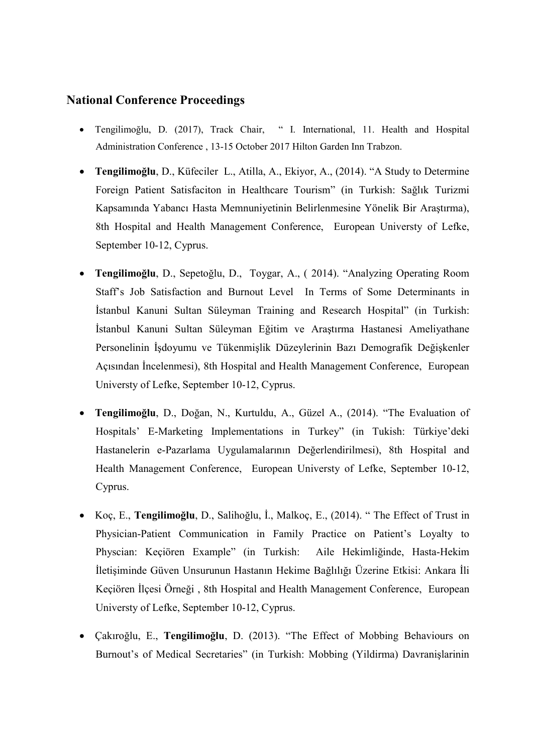#### National Conference Proceedings

- Tengilimoğlu, D. (2017), Track Chair, " I. International, 11. Health and Hospital Administration Conference , 13-15 October 2017 Hilton Garden Inn Trabzon.
- Tengilimoğlu, D., Küfeciler L., Atilla, A., Ekiyor, A., (2014). "A Study to Determine Foreign Patient Satisfaciton in Healthcare Tourism" (in Turkish: Sağlık Turizmi Kapsamında Yabancı Hasta Memnuniyetinin Belirlenmesine Yönelik Bir Araştırma), 8th Hospital and Health Management Conference, European Universty of Lefke, September 10-12, Cyprus.
- Tengilimoğlu, D., Sepetoğlu, D., Toygar, A., ( 2014). "Analyzing Operating Room Staff's Job Satisfaction and Burnout Level In Terms of Some Determinants in İstanbul Kanuni Sultan Süleyman Training and Research Hospital" (in Turkish: İstanbul Kanuni Sultan Süleyman Eğitim ve Araştırma Hastanesi Ameliyathane Personelinin İşdoyumu ve Tükenmişlik Düzeylerinin Bazı Demografik Değişkenler Açısından İncelenmesi), 8th Hospital and Health Management Conference, European Universty of Lefke, September 10-12, Cyprus.
- Tengilimoğlu, D., Doğan, N., Kurtuldu, A., Güzel A., (2014). "The Evaluation of Hospitals' E-Marketing Implementations in Turkey" (in Tukish: Türkiye'deki Hastanelerin e-Pazarlama Uygulamalarının Değerlendirilmesi), 8th Hospital and Health Management Conference, European Universty of Lefke, September 10-12, Cyprus.
- Koç, E., Tengilimoğlu, D., Salihoğlu, İ., Malkoç, E., (2014). " The Effect of Trust in Physician-Patient Communication in Family Practice on Patient's Loyalty to Physcian: Keçiören Example" (in Turkish: Aile Hekimliğinde, Hasta-Hekim İletişiminde Güven Unsurunun Hastanın Hekime Bağlılığı Üzerine Etkisi: Ankara İli Keçiören İlçesi Örneği , 8th Hospital and Health Management Conference, European Universty of Lefke, September 10-12, Cyprus.
- Çakıroğlu, E., Tengilimoğlu, D. (2013). "The Effect of Mobbing Behaviours on Burnout's of Medical Secretaries" (in Turkish: Mobbing (Yildirma) Davranişlarinin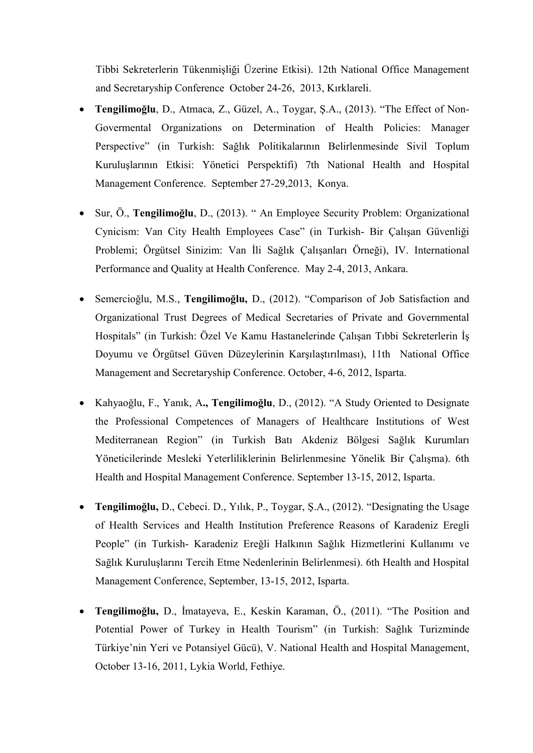Tibbi Sekreterlerin Tükenmişliği Üzerine Etkisi). 12th National Office Management and Secretaryship Conference October 24-26, 2013, Kırklareli.

- Tengilimoğlu, D., Atmaca, Z., Güzel, A., Toygar, Ş.A., (2013). "The Effect of Non-Govermental Organizations on Determination of Health Policies: Manager Perspective" (in Turkish: Sağlık Politikalarının Belirlenmesinde Sivil Toplum Kuruluşlarının Etkisi: Yönetici Perspektifi) 7th National Health and Hospital Management Conference. September 27-29,2013, Konya.
- Sur, Ö., Tengilimoğlu, D., (2013). " An Employee Security Problem: Organizational Cynicism: Van City Health Employees Case" (in Turkish- Bir Çalışan Güvenliği Problemi; Örgütsel Sinizim: Van İli Sağlık Çalışanları Örneği), IV. International Performance and Quality at Health Conference. May 2-4, 2013, Ankara.
- Semercioğlu, M.S., Tengilimoğlu, D., (2012). "Comparison of Job Satisfaction and Organizational Trust Degrees of Medical Secretaries of Private and Governmental Hospitals" (in Turkish: Özel Ve Kamu Hastanelerinde Çalışan Tıbbi Sekreterlerin İş Doyumu ve Örgütsel Güven Düzeylerinin Karşılaştırılması), 11th National Office Management and Secretaryship Conference. October, 4-6, 2012, Isparta.
- Kahyaoğlu, F., Yanık, A., Tengilimoğlu, D., (2012). "A Study Oriented to Designate the Professional Competences of Managers of Healthcare Institutions of West Mediterranean Region" (in Turkish Batı Akdeniz Bölgesi Sağlık Kurumları Yöneticilerinde Mesleki Yeterliliklerinin Belirlenmesine Yönelik Bir Çalışma). 6th Health and Hospital Management Conference. September 13-15, 2012, Isparta.
- Tengilimoğlu, D., Cebeci. D., Yılık, P., Toygar, Ş.A., (2012). "Designating the Usage of Health Services and Health Institution Preference Reasons of Karadeniz Eregli People" (in Turkish- Karadeniz Ereğli Halkının Sağlık Hizmetlerini Kullanımı ve Sağlık Kuruluşlarını Tercih Etme Nedenlerinin Belirlenmesi). 6th Health and Hospital Management Conference, September, 13-15, 2012, Isparta.
- Tengilimoğlu, D., İmatayeva, E., Keskin Karaman, Ö., (2011). "The Position and Potential Power of Turkey in Health Tourism" (in Turkish: Sağlık Turizminde Türkiye'nin Yeri ve Potansiyel Gücü), V. National Health and Hospital Management, October 13-16, 2011, Lykia World, Fethiye.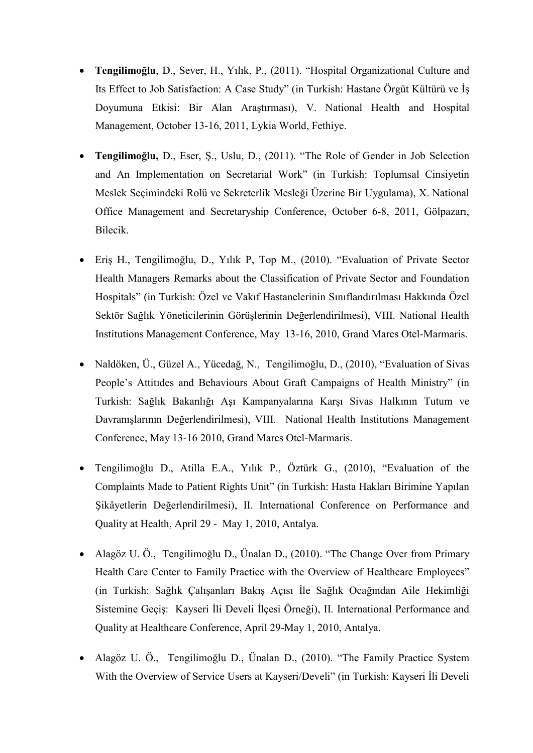- Tengilimoğlu, D., Sever, H., Yılık, P., (2011). "Hospital Organizational Culture and Its Effect to Job Satisfaction: A Case Study" (in Turkish: Hastane Örgüt Kültürü ve İş Doyumuna Etkisi: Bir Alan Araştırması), V. National Health and Hospital Management, October 13-16, 2011, Lykia World, Fethiye.
- Tengilimoğlu, D., Eser, Ş., Uslu, D., (2011). "The Role of Gender in Job Selection and An Implementation on Secretarial Work" (in Turkish: Toplumsal Cinsiyetin Meslek Seçimindeki Rolü ve Sekreterlik Mesleği Üzerine Bir Uygulama), X. National Office Management and Secretaryship Conference, October 6-8, 2011, Gölpazarı, Bilecik.
- Eriş H., Tengilimoğlu, D., Yılık P, Top M., (2010). "Evaluation of Private Sector Health Managers Remarks about the Classification of Private Sector and Foundation Hospitals" (in Turkish: Özel ve Vakıf Hastanelerinin Sınıflandırılması Hakkında Özel Sektör Sağlık Yöneticilerinin Görüşlerinin Değerlendirilmesi), VIII. National Health Institutions Management Conference, May 13-16, 2010, Grand Mares Otel-Marmaris.
- Naldöken, Ü., Güzel A., Yücedağ, N., Tengilimoğlu, D., (2010), "Evaluation of Sivas People's Attitıdes and Behaviours About Graft Campaigns of Health Ministry" (in Turkish: Sağlık Bakanlığı Aşı Kampanyalarına Karşı Sivas Halkının Tutum ve Davranışlarının Değerlendirilmesi), VIII. National Health Institutions Management Conference, May 13-16 2010, Grand Mares Otel-Marmaris.
- Tengilimoğlu D., Atilla E.A., Yılık P., Öztürk G., (2010), "Evaluation of the Complaints Made to Patient Rights Unit" (in Turkish: Hasta Hakları Birimine Yapılan Şikâyetlerin Değerlendirilmesi), II. International Conference on Performance and Quality at Health, April 29 - May 1, 2010, Antalya.
- Alagöz U. Ö., Tengilimoğlu D., Ünalan D., (2010). "The Change Over from Primary Health Care Center to Family Practice with the Overview of Healthcare Employees" (in Turkish: Sağlık Çalışanları Bakış Açısı İle Sağlık Ocağından Aile Hekimliği Sistemine Geçiş: Kayseri İli Develi İlçesi Örneği), II. International Performance and Quality at Healthcare Conference, April 29-May 1, 2010, Antalya.
- Alagöz U. Ö., Tengilimoğlu D., Ünalan D., (2010). "The Family Practice System With the Overview of Service Users at Kayseri/Develi" (in Turkish: Kayseri İli Develi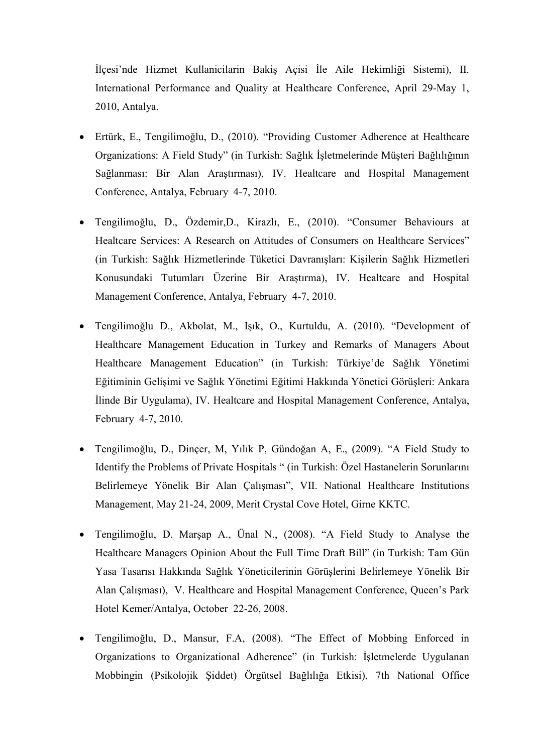İlçesi'nde Hizmet Kullanicilarin Bakiş Açisi İle Aile Hekimliği Sistemi), II. International Performance and Quality at Healthcare Conference, April 29-May 1, 2010, Antalya.

- Ertürk, E., Tengilimoğlu, D., (2010). "Providing Customer Adherence at Healthcare Organizations: A Field Study" (in Turkish: Sağlık İşletmelerinde Müşteri Bağlılığının Sağlanması: Bir Alan Araştırması), IV. Healtcare and Hospital Management Conference, Antalya, February 4-7, 2010.
- Tengilimoğlu, D., Özdemir,D., Kirazlı, E., (2010). "Consumer Behaviours at Healtcare Services: A Research on Attitudes of Consumers on Healthcare Services" (in Turkish: Sağlık Hizmetlerinde Tüketici Davranışları: Kişilerin Sağlık Hizmetleri Konusundaki Tutumları Üzerine Bir Araştırma), IV. Healtcare and Hospital Management Conference, Antalya, February 4-7, 2010.
- Tengilimoğlu D., Akbolat, M., Işık, O., Kurtuldu, A. (2010). "Development of Healthcare Management Education in Turkey and Remarks of Managers About Healthcare Management Education" (in Turkish: Türkiye'de Sağlık Yönetimi Eğitiminin Gelişimi ve Sağlık Yönetimi Eğitimi Hakkında Yönetici Görüşleri: Ankara İlinde Bir Uygulama), IV. Healtcare and Hospital Management Conference, Antalya, February 4-7, 2010.
- Tengilimoğlu, D., Dinçer, M, Yılık P, Gündoğan A, E., (2009). "A Field Study to Identify the Problems of Private Hospitals " (in Turkish: Özel Hastanelerin Sorunlarını Belirlemeye Yönelik Bir Alan Çalışması", VII. National Healthcare Institutions Management, May 21-24, 2009, Merit Crystal Cove Hotel, Girne KKTC.
- Tengilimoğlu, D. Marşap A., Ünal N., (2008). "A Field Study to Analyse the Healthcare Managers Opinion About the Full Time Draft Bill" (in Turkish: Tam Gün Yasa Tasarısı Hakkında Sağlık Yöneticilerinin Görüşlerini Belirlemeye Yönelik Bir Alan Çalışması), V. Healthcare and Hospital Management Conference, Queen's Park Hotel Kemer/Antalya, October 22-26, 2008.
- Tengilimoğlu, D., Mansur, F.A, (2008). "The Effect of Mobbing Enforced in Organizations to Organizational Adherence" (in Turkish: İşletmelerde Uygulanan Mobbingin (Psikolojik Şiddet) Örgütsel Bağlılığa Etkisi), 7th National Office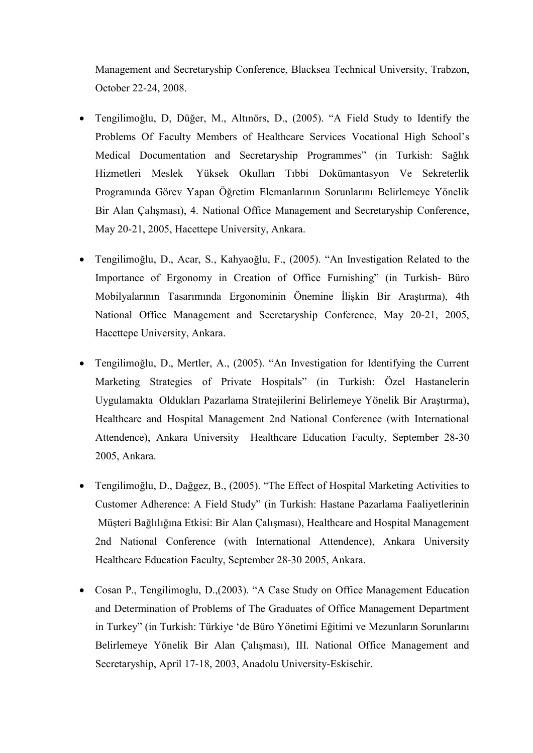Management and Secretaryship Conference, Blacksea Technical University, Trabzon, October 22-24, 2008.

- Tengilimoğlu, D, Düğer, M., Altınörs, D., (2005). "A Field Study to Identify the Problems Of Faculty Members of Healthcare Services Vocational High School's Medical Documentation and Secretaryship Programmes" (in Turkish: Sağlık Hizmetleri Meslek Yüksek Okulları Tıbbi Dokümantasyon Ve Sekreterlik Programında Görev Yapan Öğretim Elemanlarının Sorunlarını Belirlemeye Yönelik Bir Alan Çalışması), 4. National Office Management and Secretaryship Conference, May 20-21, 2005, Hacettepe University, Ankara.
- Tengilimoğlu, D., Acar, S., Kahyaoğlu, F., (2005). "An Investigation Related to the Importance of Ergonomy in Creation of Office Furnishing" (in Turkish- Büro Mobilyalarının Tasarımında Ergonominin Önemine İlişkin Bir Araştırma), 4th National Office Management and Secretaryship Conference, May 20-21, 2005, Hacettepe University, Ankara.
- Tengilimoğlu, D., Mertler, A., (2005). "An Investigation for Identifying the Current Marketing Strategies of Private Hospitals" (in Turkish: Özel Hastanelerin Uygulamakta Oldukları Pazarlama Stratejilerini Belirlemeye Yönelik Bir Araştırma), Healthcare and Hospital Management 2nd National Conference (with International Attendence), Ankara University Healthcare Education Faculty, September 28-30 2005, Ankara.
- Tengilimoğlu, D., Dağgez, B., (2005). "The Effect of Hospital Marketing Activities to Customer Adherence: A Field Study" (in Turkish: Hastane Pazarlama Faaliyetlerinin Müşteri Bağlılığına Etkisi: Bir Alan Çalışması), Healthcare and Hospital Management 2nd National Conference (with International Attendence), Ankara University Healthcare Education Faculty, September 28-30 2005, Ankara.
- Cosan P., Tengilimoglu, D.,(2003). "A Case Study on Office Management Education and Determination of Problems of The Graduates of Office Management Department in Turkey" (in Turkish: Türkiye 'de Büro Yönetimi Eğitimi ve Mezunların Sorunlarını Belirlemeye Yönelik Bir Alan Çalışması), III. National Office Management and Secretaryship, April 17-18, 2003, Anadolu University-Eskisehir.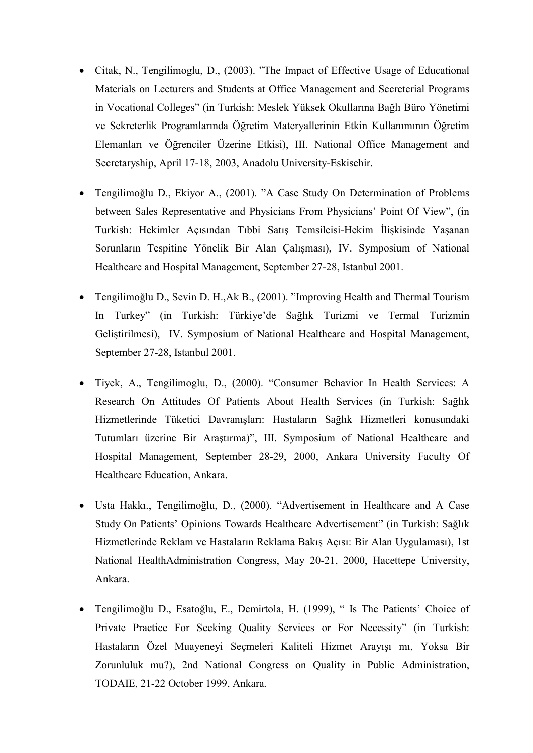- Citak, N., Tengilimoglu, D., (2003). "The Impact of Effective Usage of Educational Materials on Lecturers and Students at Office Management and Secreterial Programs in Vocational Colleges" (in Turkish: Meslek Yüksek Okullarına Bağlı Büro Yönetimi ve Sekreterlik Programlarında Öğretim Materyallerinin Etkin Kullanımının Öğretim Elemanları ve Öğrenciler Üzerine Etkisi), III. National Office Management and Secretaryship, April 17-18, 2003, Anadolu University-Eskisehir.
- Tengilimoğlu D., Ekiyor A., (2001). "A Case Study On Determination of Problems between Sales Representative and Physicians From Physicians' Point Of View", (in Turkish: Hekimler Açısından Tıbbi Satış Temsilcisi-Hekim İlişkisinde Yaşanan Sorunların Tespitine Yönelik Bir Alan Çalışması), IV. Symposium of National Healthcare and Hospital Management, September 27-28, Istanbul 2001.
- Tengilimoğlu D., Sevin D. H.,Ak B., (2001). "Improving Health and Thermal Tourism In Turkey" (in Turkish: Türkiye'de Sağlık Turizmi ve Termal Turizmin Geliştirilmesi), IV. Symposium of National Healthcare and Hospital Management, September 27-28, Istanbul 2001.
- Tiyek, A., Tengilimoglu, D., (2000). "Consumer Behavior In Health Services: A Research On Attitudes Of Patients About Health Services (in Turkish: Sağlık Hizmetlerinde Tüketici Davranışları: Hastaların Sağlık Hizmetleri konusundaki Tutumları üzerine Bir Araştırma)", III. Symposium of National Healthcare and Hospital Management, September 28-29, 2000, Ankara University Faculty Of Healthcare Education, Ankara.
- Usta Hakkı., Tengilimoğlu, D., (2000). "Advertisement in Healthcare and A Case Study On Patients' Opinions Towards Healthcare Advertisement" (in Turkish: Sağlık Hizmetlerinde Reklam ve Hastaların Reklama Bakış Açısı: Bir Alan Uygulaması), 1st National HealthAdministration Congress, May 20-21, 2000, Hacettepe University, Ankara.
- Tengilimoğlu D., Esatoğlu, E., Demirtola, H. (1999), " Is The Patients' Choice of Private Practice For Seeking Quality Services or For Necessity" (in Turkish: Hastaların Özel Muayeneyi Seçmeleri Kaliteli Hizmet Arayışı mı, Yoksa Bir Zorunluluk mu?), 2nd National Congress on Quality in Public Administration, TODAIE, 21-22 October 1999, Ankara.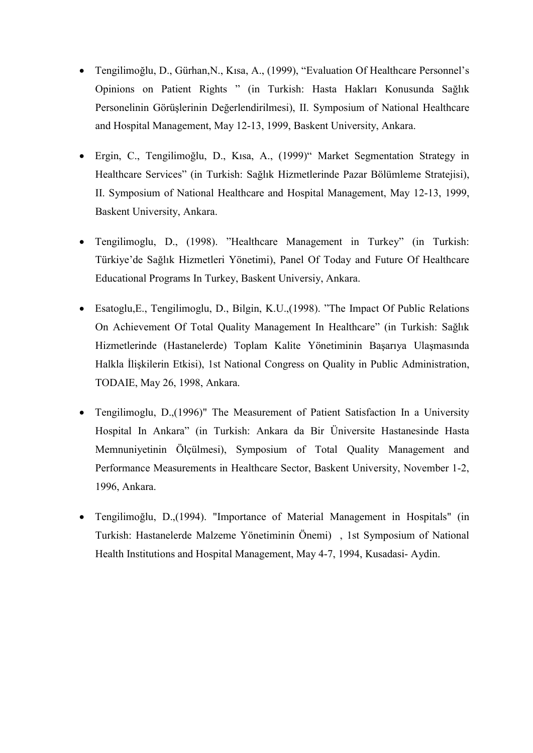- Tengilimoğlu, D., Gürhan,N., Kısa, A., (1999), "Evaluation Of Healthcare Personnel's Opinions on Patient Rights " (in Turkish: Hasta Hakları Konusunda Sağlık Personelinin Görüşlerinin Değerlendirilmesi), II. Symposium of National Healthcare and Hospital Management, May 12-13, 1999, Baskent University, Ankara.
- Ergin, C., Tengilimoğlu, D., Kısa, A., (1999)" Market Segmentation Strategy in Healthcare Services" (in Turkish: Sağlık Hizmetlerinde Pazar Bölümleme Stratejisi), II. Symposium of National Healthcare and Hospital Management, May 12-13, 1999, Baskent University, Ankara.
- Tengilimoglu, D., (1998). "Healthcare Management in Turkey" (in Turkish: Türkiye'de Sağlık Hizmetleri Yönetimi), Panel Of Today and Future Of Healthcare Educational Programs In Turkey, Baskent Universiy, Ankara.
- Esatoglu,E., Tengilimoglu, D., Bilgin, K.U.,(1998). "The Impact Of Public Relations On Achievement Of Total Quality Management In Healthcare" (in Turkish: Sağlık Hizmetlerinde (Hastanelerde) Toplam Kalite Yönetiminin Başarıya Ulaşmasında Halkla İlişkilerin Etkisi), 1st National Congress on Quality in Public Administration, TODAIE, May 26, 1998, Ankara.
- Tengilimoglu, D.,(1996)" The Measurement of Patient Satisfaction In a University Hospital In Ankara" (in Turkish: Ankara da Bir Üniversite Hastanesinde Hasta Memnuniyetinin Ölçülmesi), Symposium of Total Quality Management and Performance Measurements in Healthcare Sector, Baskent University, November 1-2, 1996, Ankara.
- Tengilimoğlu, D.,(1994). "Importance of Material Management in Hospitals" (in Turkish: Hastanelerde Malzeme Yönetiminin Önemi) , 1st Symposium of National Health Institutions and Hospital Management, May 4-7, 1994, Kusadasi- Aydin.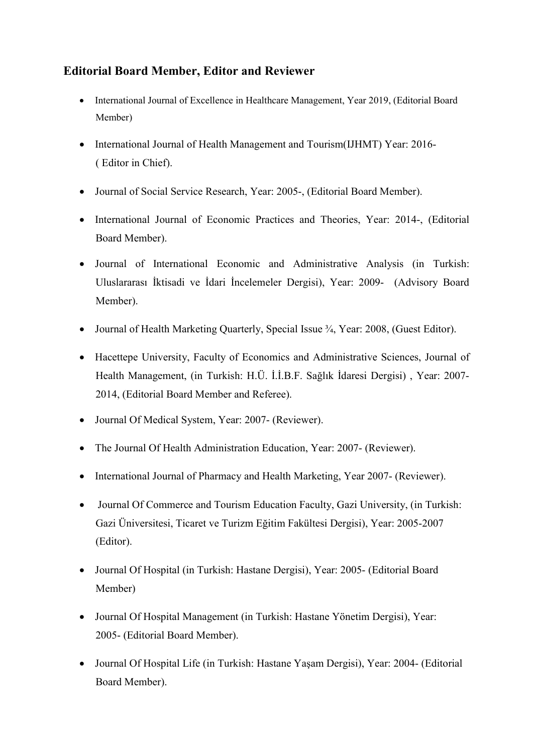# Editorial Board Member, Editor and Reviewer

- International Journal of Excellence in Healthcare Management, Year 2019, (Editorial Board Member)
- International Journal of Health Management and Tourism(IJHMT) Year: 2016-( Editor in Chief).
- Journal of Social Service Research, Year: 2005-, (Editorial Board Member).
- International Journal of Economic Practices and Theories, Year: 2014-, (Editorial Board Member).
- Journal of International Economic and Administrative Analysis (in Turkish: Uluslararası İktisadi ve İdari İncelemeler Dergisi), Year: 2009- (Advisory Board Member).
- Journal of Health Marketing Quarterly, Special Issue <sup>3</sup>/<sub>4</sub>, Year: 2008, (Guest Editor).
- Hacettepe University, Faculty of Economics and Administrative Sciences, Journal of Health Management, (in Turkish: H.Ü. İ.İ.B.F. Sağlık İdaresi Dergisi) , Year: 2007- 2014, (Editorial Board Member and Referee).
- Journal Of Medical System, Year: 2007- (Reviewer).
- The Journal Of Health Administration Education, Year: 2007- (Reviewer).
- International Journal of Pharmacy and Health Marketing, Year 2007- (Reviewer).
- Journal Of Commerce and Tourism Education Faculty, Gazi University, (in Turkish: Gazi Üniversitesi, Ticaret ve Turizm Eğitim Fakültesi Dergisi), Year: 2005-2007 (Editor).
- Journal Of Hospital (in Turkish: Hastane Dergisi), Year: 2005- (Editorial Board Member)
- Journal Of Hospital Management (in Turkish: Hastane Yönetim Dergisi), Year: 2005- (Editorial Board Member).
- Journal Of Hospital Life (in Turkish: Hastane Yaşam Dergisi), Year: 2004- (Editorial Board Member).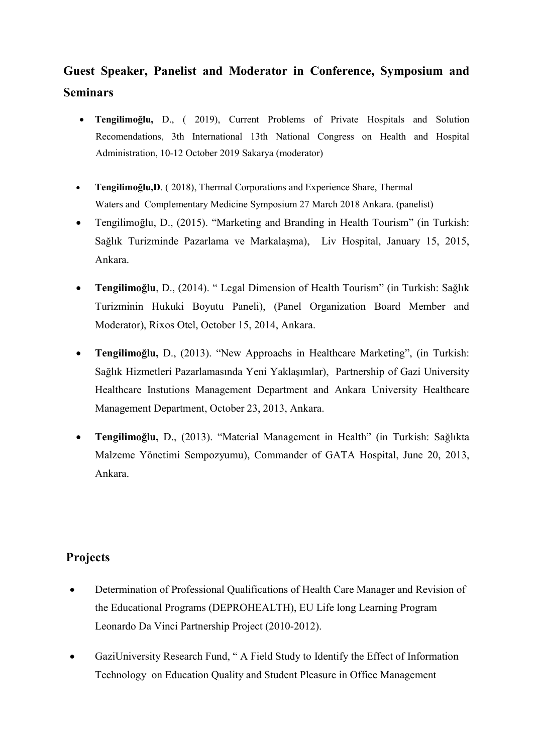# Guest Speaker, Panelist and Moderator in Conference, Symposium and Seminars

- Tengilimoğlu, D., ( 2019), Current Problems of Private Hospitals and Solution Recomendations, 3th International 13th National Congress on Health and Hospital Administration, 10-12 October 2019 Sakarya (moderator)
- Tengilimoğlu,D. ( 2018), Thermal Corporations and Experience Share, Thermal Waters and Complementary Medicine Symposium 27 March 2018 Ankara. (panelist)
- Tengilimoğlu, D., (2015). "Marketing and Branding in Health Tourism" (in Turkish: Sağlık Turizminde Pazarlama ve Markalaşma), Liv Hospital, January 15, 2015, Ankara.
- Tengilimoğlu, D., (2014). " Legal Dimension of Health Tourism" (in Turkish: Sağlık Turizminin Hukuki Boyutu Paneli), (Panel Organization Board Member and Moderator), Rixos Otel, October 15, 2014, Ankara.
- Tengilimoğlu, D., (2013). "New Approachs in Healthcare Marketing", (in Turkish: Sağlık Hizmetleri Pazarlamasında Yeni Yaklaşımlar), Partnership of Gazi University Healthcare Instutions Management Department and Ankara University Healthcare Management Department, October 23, 2013, Ankara.
- Tengilimoğlu, D., (2013). "Material Management in Health" (in Turkish: Sağlıkta Malzeme Yönetimi Sempozyumu), Commander of GATA Hospital, June 20, 2013, Ankara.

## **Projects**

- Determination of Professional Qualifications of Health Care Manager and Revision of the Educational Programs (DEPROHEALTH), EU Life long Learning Program Leonardo Da Vinci Partnership Project (2010-2012).
- GaziUniversity Research Fund, " A Field Study to Identify the Effect of Information Technology on Education Quality and Student Pleasure in Office Management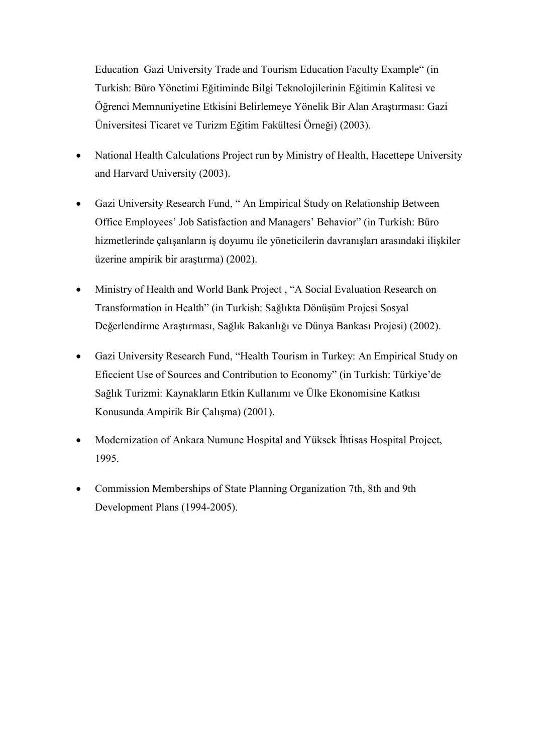Education Gazi University Trade and Tourism Education Faculty Example" (in Turkish: Büro Yönetimi Eğitiminde Bilgi Teknolojilerinin Eğitimin Kalitesi ve Öğrenci Memnuniyetine Etkisini Belirlemeye Yönelik Bir Alan Araştırması: Gazi Üniversitesi Ticaret ve Turizm Eğitim Fakültesi Örneği) (2003).

- National Health Calculations Project run by Ministry of Health, Hacettepe University and Harvard University (2003).
- Gazi University Research Fund, " An Empirical Study on Relationship Between Office Employees' Job Satisfaction and Managers' Behavior" (in Turkish: Büro hizmetlerinde çalışanların iş doyumu ile yöneticilerin davranışları arasındaki ilişkiler üzerine ampirik bir araştırma) (2002).
- Ministry of Health and World Bank Project , "A Social Evaluation Research on Transformation in Health" (in Turkish: Sağlıkta Dönüşüm Projesi Sosyal Değerlendirme Araştırması, Sağlık Bakanlığı ve Dünya Bankası Projesi) (2002).
- Gazi University Research Fund, "Health Tourism in Turkey: An Empirical Study on Eficcient Use of Sources and Contribution to Economy" (in Turkish: Türkiye'de Sağlık Turizmi: Kaynakların Etkin Kullanımı ve Ülke Ekonomisine Katkısı Konusunda Ampirik Bir Çalışma) (2001).
- Modernization of Ankara Numune Hospital and Yüksek İhtisas Hospital Project, 1995.
- Commission Memberships of State Planning Organization 7th, 8th and 9th Development Plans (1994-2005).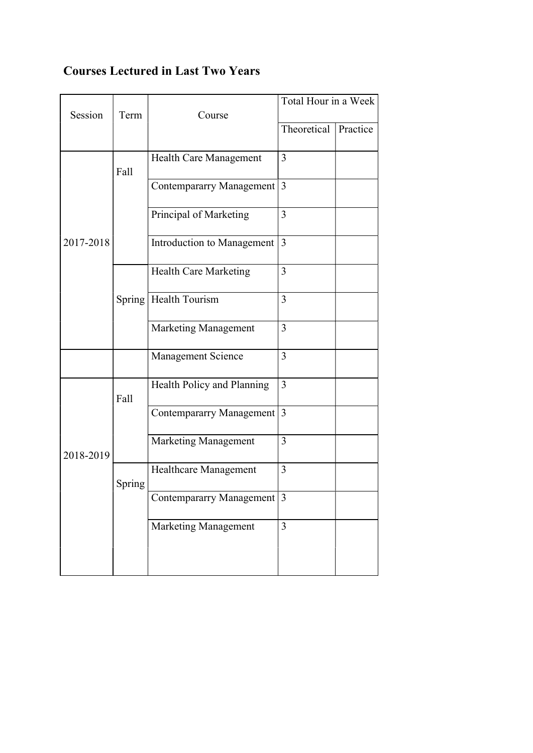# Courses Lectured in Last Two Years

| Session   | Term   | Course                          | Total Hour in a Week |          |
|-----------|--------|---------------------------------|----------------------|----------|
|           |        |                                 | Theoretical          | Practice |
| 2017-2018 | Fall   | Health Care Management          | 3                    |          |
|           |        | <b>Contempararry Management</b> | 3                    |          |
|           |        | Principal of Marketing          | 3                    |          |
|           |        | Introduction to Management      | 3                    |          |
|           |        | <b>Health Care Marketing</b>    | 3                    |          |
|           |        | Spring   Health Tourism         | 3                    |          |
|           |        | Marketing Management            | 3                    |          |
|           |        | Management Science              | 3                    |          |
| 2018-2019 | Fall   | Health Policy and Planning      | 3                    |          |
|           |        | <b>Contempararry Management</b> | 3                    |          |
|           |        | Marketing Management            | 3                    |          |
|           | Spring | Healthcare Management           | 3                    |          |
|           |        | Contempararry Management 3      |                      |          |
|           |        | Marketing Management            | 3                    |          |
|           |        |                                 |                      |          |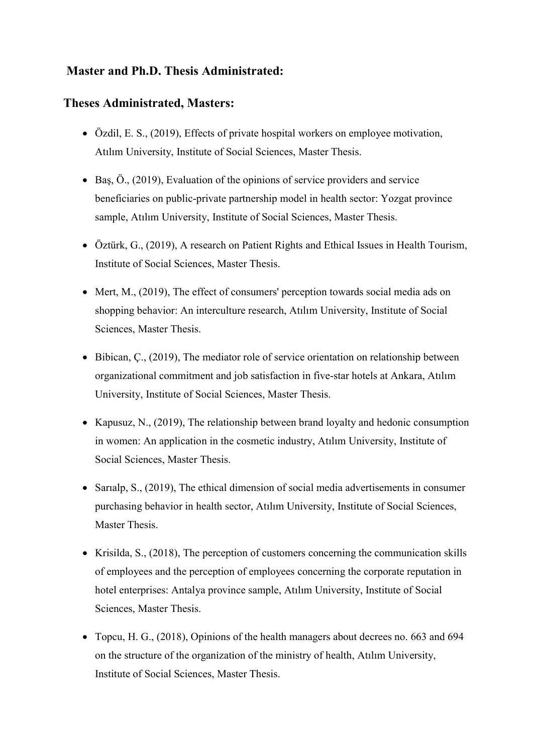# Master and Ph.D. Thesis Administrated:

### Theses Administrated, Masters:

- Özdil, E. S., (2019), Effects of private hospital workers on employee motivation, Atılım University, Institute of Social Sciences, Master Thesis.
- $\bullet$  Baş, Ö., (2019), Evaluation of the opinions of service providers and service beneficiaries on public-private partnership model in health sector: Yozgat province sample, Atılım University, Institute of Social Sciences, Master Thesis.
- Öztürk, G., (2019), A research on Patient Rights and Ethical Issues in Health Tourism, Institute of Social Sciences, Master Thesis.
- Mert, M., (2019), The effect of consumers' perception towards social media ads on shopping behavior: An interculture research, Atılım University, Institute of Social Sciences, Master Thesis.
- Bibican, Ç., (2019), The mediator role of service orientation on relationship between organizational commitment and job satisfaction in five-star hotels at Ankara, Atılım University, Institute of Social Sciences, Master Thesis.
- Kapusuz, N.,  $(2019)$ , The relationship between brand loyalty and hedonic consumption in women: An application in the cosmetic industry, Atılım University, Institute of Social Sciences, Master Thesis.
- Sarialp, S., (2019), The ethical dimension of social media advertisements in consumer purchasing behavior in health sector, Atılım University, Institute of Social Sciences, Master Thesis.
- Krisilda, S.,  $(2018)$ , The perception of customers concerning the communication skills of employees and the perception of employees concerning the corporate reputation in hotel enterprises: Antalya province sample, Atılım University, Institute of Social Sciences, Master Thesis.
- Topcu, H. G., (2018), Opinions of the health managers about decrees no. 663 and 694 on the structure of the organization of the ministry of health, Atılım University, Institute of Social Sciences, Master Thesis.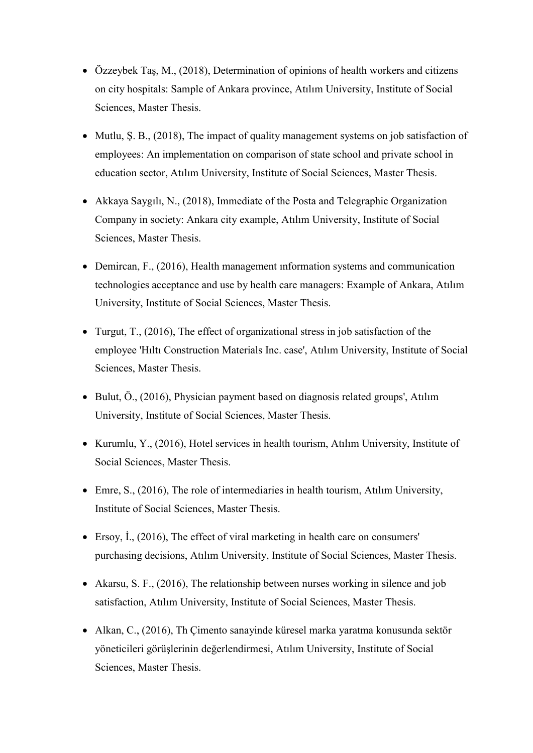- Özzeybek Taş, M., (2018), Determination of opinions of health workers and citizens on city hospitals: Sample of Ankara province, Atılım University, Institute of Social Sciences, Master Thesis.
- Mutlu, S. B., (2018). The impact of quality management systems on job satisfaction of employees: An implementation on comparison of state school and private school in education sector, Atılım University, Institute of Social Sciences, Master Thesis.
- Akkaya Saygılı, N., (2018), Immediate of the Posta and Telegraphic Organization Company in society: Ankara city example, Atılım University, Institute of Social Sciences, Master Thesis.
- Demircan, F., (2016), Health management ınformation systems and communication technologies acceptance and use by health care managers: Example of Ankara, Atılım University, Institute of Social Sciences, Master Thesis.
- Turgut, T., (2016), The effect of organizational stress in job satisfaction of the employee 'Hıltı Construction Materials Inc. case', Atılım University, Institute of Social Sciences, Master Thesis.
- Bulut, Ö., (2016), Physician payment based on diagnosis related groups', Atılım University, Institute of Social Sciences, Master Thesis.
- $\bullet$  Kurumlu, Y., (2016), Hotel services in health tourism, Atılım University, Institute of Social Sciences, Master Thesis.
- Emre, S., (2016), The role of intermediaries in health tourism, Atılım University, Institute of Social Sciences, Master Thesis.
- Ersoy, İ., (2016), The effect of viral marketing in health care on consumers' purchasing decisions, Atılım University, Institute of Social Sciences, Master Thesis.
- Akarsu, S. F., (2016), The relationship between nurses working in silence and job satisfaction, Atılım University, Institute of Social Sciences, Master Thesis.
- Alkan, C., (2016), Th Çimento sanayinde küresel marka yaratma konusunda sektör yöneticileri görüşlerinin değerlendirmesi, Atılım University, Institute of Social Sciences, Master Thesis.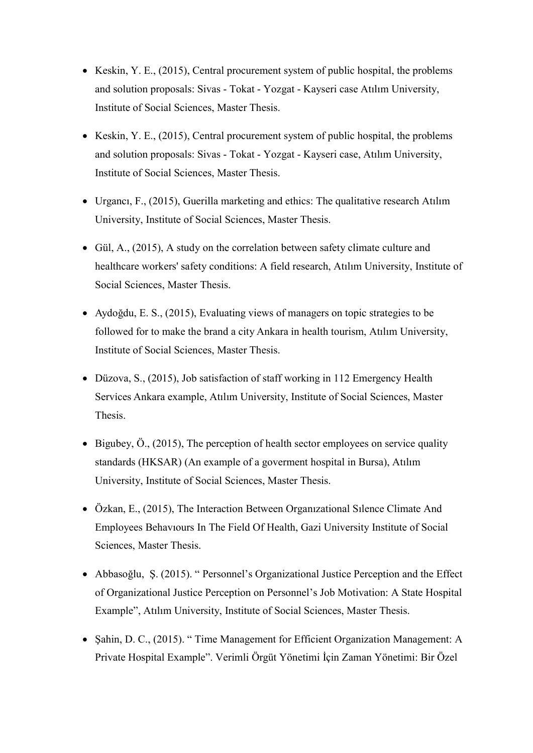- Keskin, Y. E.,  $(2015)$ , Central procurement system of public hospital, the problems and solution proposals: Sivas - Tokat - Yozgat - Kayseri case Atılım University, Institute of Social Sciences, Master Thesis.
- Keskin, Y. E.,  $(2015)$ , Central procurement system of public hospital, the problems and solution proposals: Sivas - Tokat - Yozgat - Kayseri case, Atılım University, Institute of Social Sciences, Master Thesis.
- Urgancı, F., (2015), Guerilla marketing and ethics: The qualitative research Atılım University, Institute of Social Sciences, Master Thesis.
- Gül, A., (2015), A study on the correlation between safety climate culture and healthcare workers' safety conditions: A field research, Atılım University, Institute of Social Sciences, Master Thesis.
- Aydoğdu, E. S., (2015), Evaluating views of managers on topic strategies to be followed for to make the brand a city Ankara ı̇ n health tourism, Atılım University, Institute of Social Sciences, Master Thesis.
- Düzova, S., (2015), Job satisfaction of staff working in 112 Emergency Health Services Ankara example, Atılım University, Institute of Social Sciences, Master Thesis.
- Bigubey, Ö., (2015), The perception of health sector employees on service quality standards (HKSAR) (An example of a goverment hospital in Bursa), Atılım University, Institute of Social Sciences, Master Thesis.
- Özkan, E., (2015), The Interaction Between Organızational Sılence Climate And Employees Behavıours In The Field Of Health, Gazi University Institute of Social Sciences, Master Thesis.
- Abbasoğlu, Ş. (2015). " Personnel's Organizational Justice Perception and the Effect of Organizational Justice Perception on Personnel's Job Motivation: A State Hospital Example", Atılım University, Institute of Social Sciences, Master Thesis.
- Sahin, D. C., (2015). "Time Management for Efficient Organization Management: A Private Hospital Example". Verimli Örgüt Yönetimi İçin Zaman Yönetimi: Bir Özel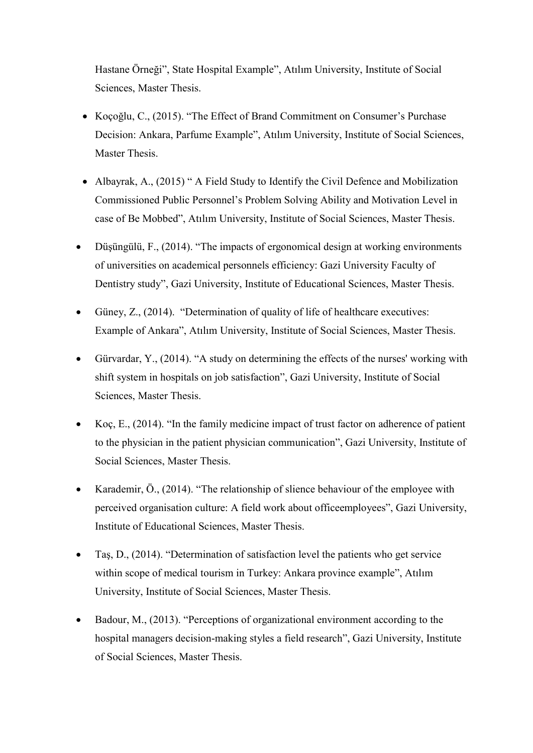Hastane Örneği", State Hospital Example", Atılım University, Institute of Social Sciences, Master Thesis.

- Koçoğlu, C., (2015). "The Effect of Brand Commitment on Consumer's Purchase Decision: Ankara, Parfume Example", Atılım University, Institute of Social Sciences, Master Thesis.
- Albayrak, A., (2015) " A Field Study to Identify the Civil Defence and Mobilization Commissioned Public Personnel's Problem Solving Ability and Motivation Level in case of Be Mobbed", Atılım University, Institute of Social Sciences, Master Thesis.
- Düşüngülü, F., (2014). "The impacts of ergonomical design at working environments of universities on academical personnels efficiency: Gazi University Faculty of Dentistry study", Gazi University, Institute of Educational Sciences, Master Thesis.
- Güney, Z., (2014). "Determination of quality of life of healthcare executives: Example of Ankara", Atılım University, Institute of Social Sciences, Master Thesis.
- Gürvardar, Y., (2014). "A study on determining the effects of the nurses' working with shift system in hospitals on job satisfaction", Gazi University, Institute of Social Sciences, Master Thesis.
- Koç, E., (2014). "In the family medicine impact of trust factor on adherence of patient to the physician in the patient physician communication", Gazi University, Institute of Social Sciences, Master Thesis.
- Karademir, Ö., (2014). "The relationship of slience behaviour of the employee with perceived organisation culture: A field work about officeemployees", Gazi University, Institute of Educational Sciences, Master Thesis.
- Taş, D., (2014). "Determination of satisfaction level the patients who get service within scope of medical tourism in Turkey: Ankara province example", Atılım University, Institute of Social Sciences, Master Thesis.
- Badour, M., (2013). "Perceptions of organizational environment according to the hospital managers decision-making styles a field research", Gazi University, Institute of Social Sciences, Master Thesis.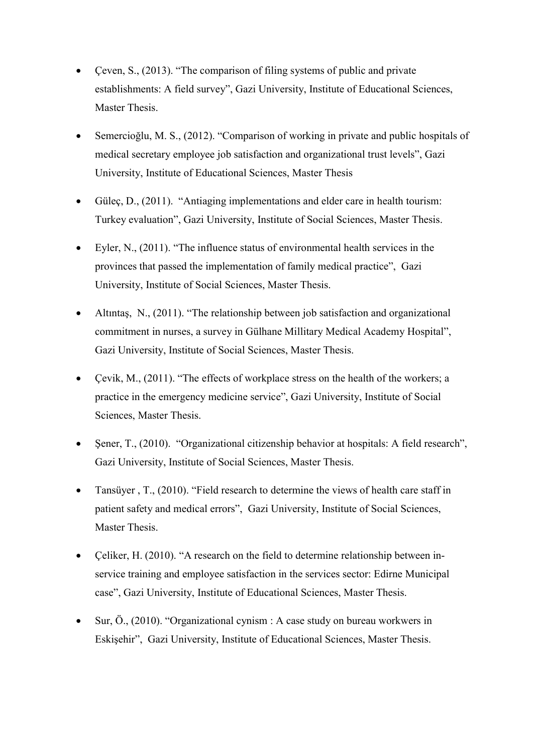- Çeven, S., (2013). "The comparison of filing systems of public and private establishments: A field survey", Gazi University, Institute of Educational Sciences, Master Thesis.
- Semercioğlu, M. S., (2012). "Comparison of working in private and public hospitals of medical secretary employee job satisfaction and organizational trust levels", Gazi University, Institute of Educational Sciences, Master Thesis
- Gülec, D.,  $(2011)$ . "Antiaging implementations and elder care in health tourism: Turkey evaluation", Gazi University, Institute of Social Sciences, Master Thesis.
- Eyler, N., (2011). "The influence status of environmental health services in the provinces that passed the implementation of family medical practice", Gazi University, Institute of Social Sciences, Master Thesis.
- Altıntaş, N., (2011). "The relationship between job satisfaction and organizational commitment in nurses, a survey in Gülhane Millitary Medical Academy Hospital", Gazi University, Institute of Social Sciences, Master Thesis.
- Cevik, M.,  $(2011)$ . "The effects of workplace stress on the health of the workers; a practice in the emergency medicine service", Gazi University, Institute of Social Sciences, Master Thesis.
- Şener, T., (2010). "Organizational citizenship behavior at hospitals: A field research", Gazi University, Institute of Social Sciences, Master Thesis.
- Tansüyer, T., (2010). "Field research to determine the views of health care staff in patient safety and medical errors", Gazi University, Institute of Social Sciences, Master Thesis.
- Celiker, H. (2010). "A research on the field to determine relationship between inservice training and employee satisfaction in the services sector: Edirne Municipal case", Gazi University, Institute of Educational Sciences, Master Thesis.
- Sur, Ö., (2010). "Organizational cynism : A case study on bureau workwers in Eskişehir", Gazi University, Institute of Educational Sciences, Master Thesis.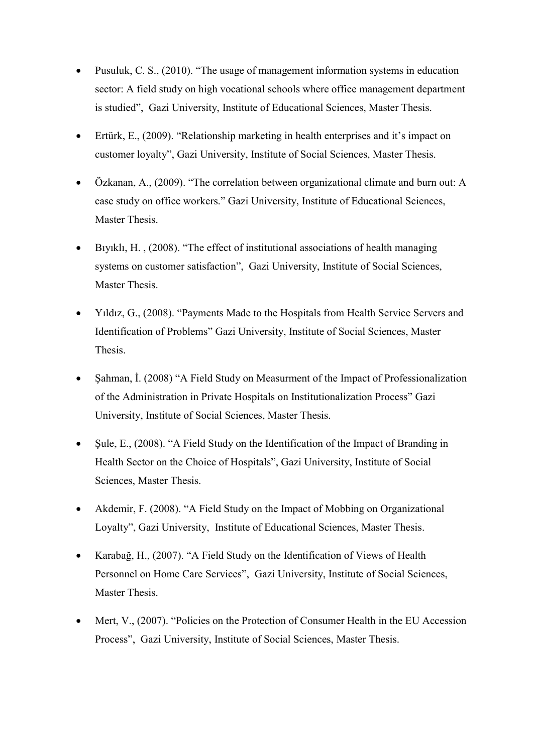- Pusuluk, C. S., (2010). "The usage of management information systems in education sector: A field study on high vocational schools where office management department is studied", Gazi University, Institute of Educational Sciences, Master Thesis.
- Ertürk, E., (2009). "Relationship marketing in health enterprises and it's impact on customer loyalty", Gazi University, Institute of Social Sciences, Master Thesis.
- Özkanan, A., (2009). "The correlation between organizational climate and burn out: A case study on office workers." Gazi University, Institute of Educational Sciences, Master Thesis.
- Bıyıklı, H. , (2008). "The effect of institutional associations of health managing systems on customer satisfaction", Gazi University, Institute of Social Sciences, Master Thesis.
- Yıldız, G., (2008). "Payments Made to the Hospitals from Health Service Servers and Identification of Problems" Gazi University, Institute of Social Sciences, Master Thesis.
- Sahman, İ. (2008) "A Field Study on Measurment of the Impact of Professionalization of the Administration in Private Hospitals on Institutionalization Process" Gazi University, Institute of Social Sciences, Master Thesis.
- Şule, E., (2008). "A Field Study on the Identification of the Impact of Branding in Health Sector on the Choice of Hospitals", Gazi University, Institute of Social Sciences, Master Thesis.
- Akdemir, F. (2008). "A Field Study on the Impact of Mobbing on Organizational Loyalty", Gazi University, Institute of Educational Sciences, Master Thesis.
- Karabağ, H., (2007). "A Field Study on the Identification of Views of Health Personnel on Home Care Services", Gazi University, Institute of Social Sciences, Master Thesis.
- Mert, V., (2007). "Policies on the Protection of Consumer Health in the EU Accession Process", Gazi University, Institute of Social Sciences, Master Thesis.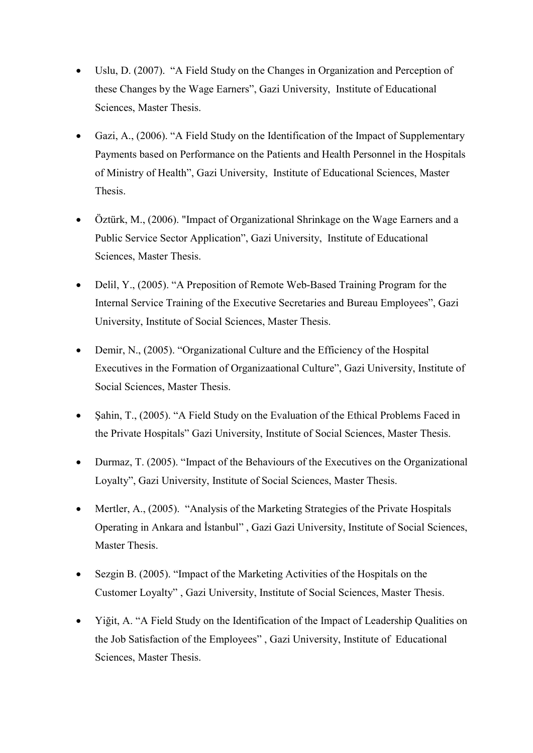- Uslu, D. (2007). "A Field Study on the Changes in Organization and Perception of these Changes by the Wage Earners", Gazi University, Institute of Educational Sciences, Master Thesis.
- Gazi, A., (2006). "A Field Study on the Identification of the Impact of Supplementary Payments based on Performance on the Patients and Health Personnel in the Hospitals of Ministry of Health", Gazi University, Institute of Educational Sciences, Master Thesis.
- Öztürk, M., (2006). "Impact of Organizational Shrinkage on the Wage Earners and a Public Service Sector Application", Gazi University, Institute of Educational Sciences, Master Thesis.
- Delil, Y., (2005). "A Preposition of Remote Web-Based Training Program for the Internal Service Training of the Executive Secretaries and Bureau Employees", Gazi University, Institute of Social Sciences, Master Thesis.
- Demir, N., (2005). "Organizational Culture and the Efficiency of the Hospital Executives in the Formation of Organizaational Culture", Gazi University, Institute of Social Sciences, Master Thesis.
- Şahin, T., (2005). "A Field Study on the Evaluation of the Ethical Problems Faced in the Private Hospitals" Gazi University, Institute of Social Sciences, Master Thesis.
- Durmaz, T. (2005). "Impact of the Behaviours of the Executives on the Organizational Loyalty", Gazi University, Institute of Social Sciences, Master Thesis.
- Mertler, A., (2005). "Analysis of the Marketing Strategies of the Private Hospitals Operating in Ankara and İstanbul" , Gazi Gazi University, Institute of Social Sciences, Master Thesis.
- Sezgin B. (2005). "Impact of the Marketing Activities of the Hospitals on the Customer Loyalty" , Gazi University, Institute of Social Sciences, Master Thesis.
- Yiğit, A. "A Field Study on the Identification of the Impact of Leadership Qualities on the Job Satisfaction of the Employees" , Gazi University, Institute of Educational Sciences, Master Thesis.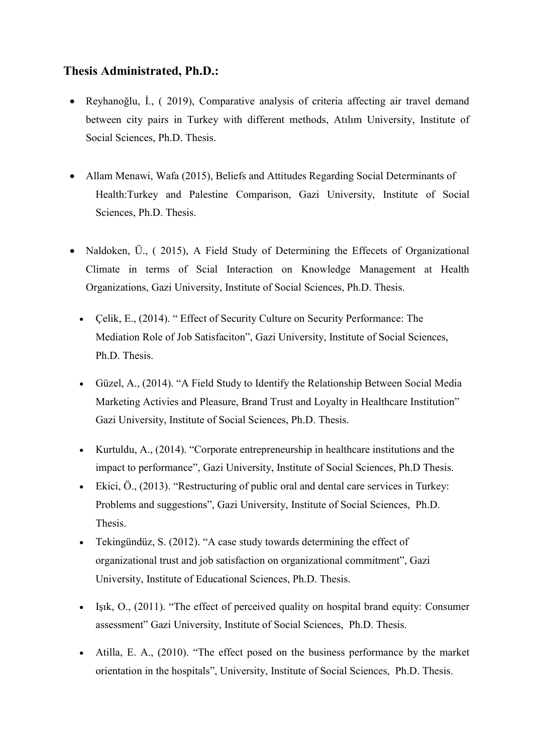# Thesis Administrated, Ph.D.:

- Reyhanoğlu, İ., ( 2019), Comparative analysis of criteria affecting air travel demand between city pairs in Turkey with different methods, Atılım University, Institute of Social Sciences, Ph.D. Thesis.
- Allam Menawi, Wafa (2015), Beliefs and Attitudes Regarding Social Determinants of Health:Turkey and Palestine Comparison, Gazi University, Institute of Social Sciences, Ph.D. Thesis.
- Naldoken, Ü., (2015), A Field Study of Determining the Effecets of Organizational Climate in terms of Scial Interaction on Knowledge Management at Health Organizations, Gazi University, Institute of Social Sciences, Ph.D. Thesis.
	- Çelik, E., (2014). " Effect of Security Culture on Security Performance: The Mediation Role of Job Satisfaciton", Gazi University, Institute of Social Sciences, Ph.D. Thesis.
	- Güzel, A., (2014). "A Field Study to Identify the Relationship Between Social Media Marketing Activies and Pleasure, Brand Trust and Loyalty in Healthcare Institution" Gazi University, Institute of Social Sciences, Ph.D. Thesis.
	- Kurtuldu, A., (2014). "Corporate entrepreneurship in healthcare institutions and the impact to performance", Gazi University, Institute of Social Sciences, Ph.D Thesis.
	- Ekici,  $\ddot{\text{o}}$ ., (2013). "Restructuring of public oral and dental care services in Turkey: Problems and suggestions", Gazi University, Institute of Social Sciences, Ph.D. Thesis.
	- Tekingündüz, S. (2012). "A case study towards determining the effect of organizational trust and job satisfaction on organizational commitment", Gazi University, Institute of Educational Sciences, Ph.D. Thesis.
	- Işık, O., (2011). "The effect of perceived quality on hospital brand equity: Consumer assessment" Gazi University, Institute of Social Sciences, Ph.D. Thesis.
	- Atilla, E. A., (2010). "The effect posed on the business performance by the market orientation in the hospitals", University, Institute of Social Sciences, Ph.D. Thesis.